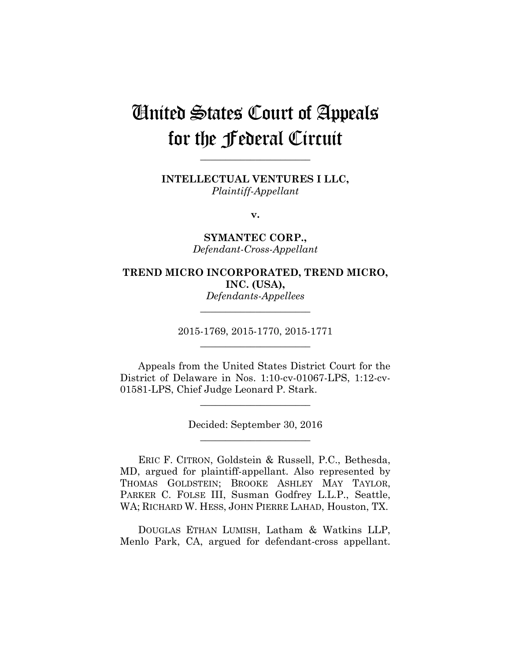# United States Court of Appeals for the Federal Circuit

**\_\_\_\_\_\_\_\_\_\_\_\_\_\_\_\_\_\_\_\_\_\_** 

**INTELLECTUAL VENTURES I LLC,** *Plaintiff-Appellant*

**v.**

**SYMANTEC CORP.,** *Defendant-Cross-Appellant*

### **TREND MICRO INCORPORATED, TREND MICRO, INC. (USA),** *Defendants-Appellees*

2015-1769, 2015-1770, 2015-1771 **\_\_\_\_\_\_\_\_\_\_\_\_\_\_\_\_\_\_\_\_\_\_** 

**\_\_\_\_\_\_\_\_\_\_\_\_\_\_\_\_\_\_\_\_\_\_** 

Appeals from the United States District Court for the District of Delaware in Nos. 1:10-cv-01067-LPS, 1:12-cv-01581-LPS, Chief Judge Leonard P. Stark.

**\_\_\_\_\_\_\_\_\_\_\_\_\_\_\_\_\_\_\_\_\_\_** 

Decided: September 30, 2016 **\_\_\_\_\_\_\_\_\_\_\_\_\_\_\_\_\_\_\_\_\_\_** 

ERIC F. CITRON, Goldstein & Russell, P.C., Bethesda, MD, argued for plaintiff-appellant. Also represented by THOMAS GOLDSTEIN; BROOKE ASHLEY MAY TAYLOR, PARKER C. FOLSE III, Susman Godfrey L.L.P., Seattle, WA; RICHARD W. HESS, JOHN PIERRE LAHAD, Houston, TX.

DOUGLAS ETHAN LUMISH, Latham & Watkins LLP, Menlo Park, CA, argued for defendant-cross appellant.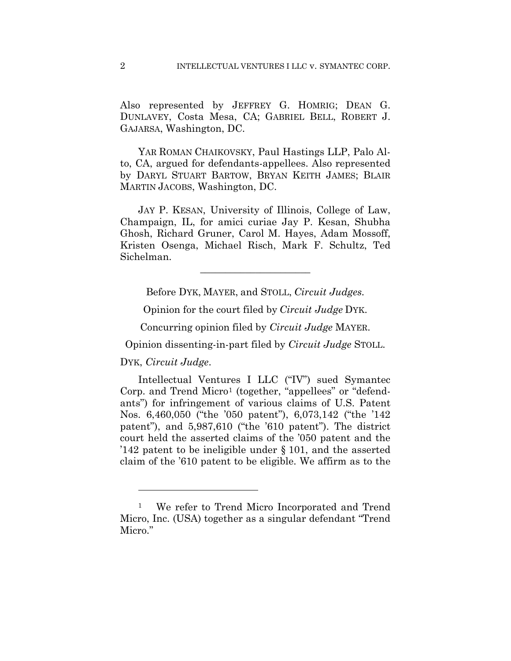Also represented by JEFFREY G. HOMRIG; DEAN G. DUNLAVEY, Costa Mesa, CA; GABRIEL BELL, ROBERT J. GAJARSA, Washington, DC.

YAR ROMAN CHAIKOVSKY, Paul Hastings LLP, Palo Alto, CA, argued for defendants-appellees. Also represented by DARYL STUART BARTOW, BRYAN KEITH JAMES; BLAIR MARTIN JACOBS, Washington, DC.

JAY P. KESAN, University of Illinois, College of Law, Champaign, IL, for amici curiae Jay P. Kesan, Shubha Ghosh, Richard Gruner, Carol M. Hayes, Adam Mossoff, Kristen Osenga, Michael Risch, Mark F. Schultz, Ted Sichelman.

Before DYK, MAYER, and STOLL, *Circuit Judges.*

**\_\_\_\_\_\_\_\_\_\_\_\_\_\_\_\_\_\_\_\_\_\_** 

Opinion for the court filed by *Circuit Judge* DYK.

Concurring opinion filed by *Circuit Judge* MAYER.

Opinion dissenting-in-part filed by *Circuit Judge* STOLL.

DYK, *Circuit Judge*.

1

Intellectual Ventures I LLC ("IV") sued Symantec Corp. and Trend Micro1 (together, "appellees" or "defendants") for infringement of various claims of U.S. Patent Nos. 6,460,050 ("the '050 patent"), 6,073,142 ("the '142 patent"), and 5,987,610 ("the '610 patent"). The district court held the asserted claims of the '050 patent and the '142 patent to be ineligible under § 101, and the asserted claim of the '610 patent to be eligible. We affirm as to the

<sup>1</sup> We refer to Trend Micro Incorporated and Trend Micro, Inc. (USA) together as a singular defendant "Trend Micro."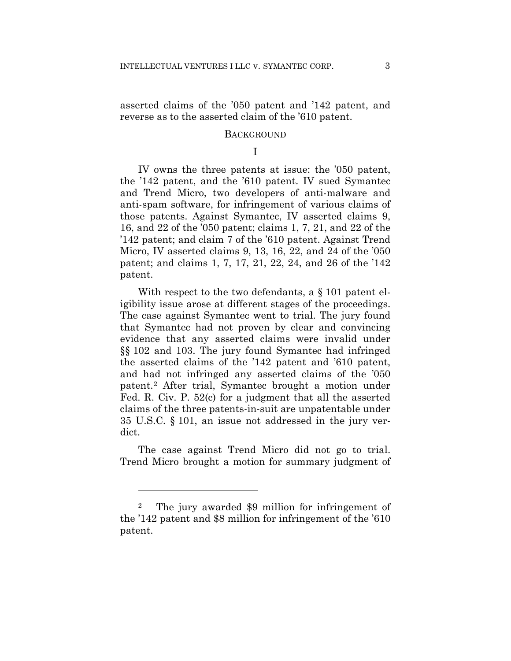asserted claims of the '050 patent and '142 patent, and reverse as to the asserted claim of the '610 patent.

#### **BACKGROUND**

I

IV owns the three patents at issue: the '050 patent, the '142 patent, and the '610 patent. IV sued Symantec and Trend Micro, two developers of anti-malware and anti-spam software, for infringement of various claims of those patents. Against Symantec, IV asserted claims 9, 16, and 22 of the '050 patent; claims 1, 7, 21, and 22 of the '142 patent; and claim 7 of the '610 patent. Against Trend Micro, IV asserted claims 9, 13, 16, 22, and 24 of the '050 patent; and claims 1, 7, 17, 21, 22, 24, and 26 of the '142 patent.

With respect to the two defendants, a § 101 patent eligibility issue arose at different stages of the proceedings. The case against Symantec went to trial. The jury found that Symantec had not proven by clear and convincing evidence that any asserted claims were invalid under §§ 102 and 103. The jury found Symantec had infringed the asserted claims of the '142 patent and '610 patent, and had not infringed any asserted claims of the '050 patent.2 After trial, Symantec brought a motion under Fed. R. Civ. P. 52(c) for a judgment that all the asserted claims of the three patents-in-suit are unpatentable under 35 U.S.C. § 101, an issue not addressed in the jury verdict.

The case against Trend Micro did not go to trial. Trend Micro brought a motion for summary judgment of

1

<sup>2</sup> The jury awarded \$9 million for infringement of the '142 patent and \$8 million for infringement of the '610 patent.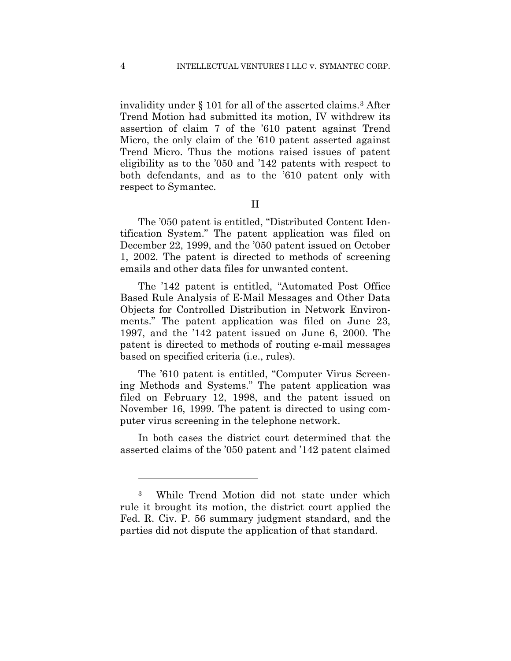invalidity under § 101 for all of the asserted claims.3 After Trend Motion had submitted its motion, IV withdrew its assertion of claim 7 of the '610 patent against Trend Micro, the only claim of the '610 patent asserted against Trend Micro. Thus the motions raised issues of patent eligibility as to the '050 and '142 patents with respect to both defendants, and as to the '610 patent only with respect to Symantec.

II

The '050 patent is entitled, "Distributed Content Identification System." The patent application was filed on December 22, 1999, and the '050 patent issued on October 1, 2002. The patent is directed to methods of screening emails and other data files for unwanted content.

The '142 patent is entitled, "Automated Post Office Based Rule Analysis of E-Mail Messages and Other Data Objects for Controlled Distribution in Network Environments." The patent application was filed on June 23, 1997, and the '142 patent issued on June 6, 2000. The patent is directed to methods of routing e-mail messages based on specified criteria (i.e., rules).

The '610 patent is entitled, "Computer Virus Screening Methods and Systems." The patent application was filed on February 12, 1998, and the patent issued on November 16, 1999. The patent is directed to using computer virus screening in the telephone network.

In both cases the district court determined that the asserted claims of the '050 patent and '142 patent claimed

 $\overline{a}$ 

<sup>3</sup> While Trend Motion did not state under which rule it brought its motion, the district court applied the Fed. R. Civ. P. 56 summary judgment standard, and the parties did not dispute the application of that standard.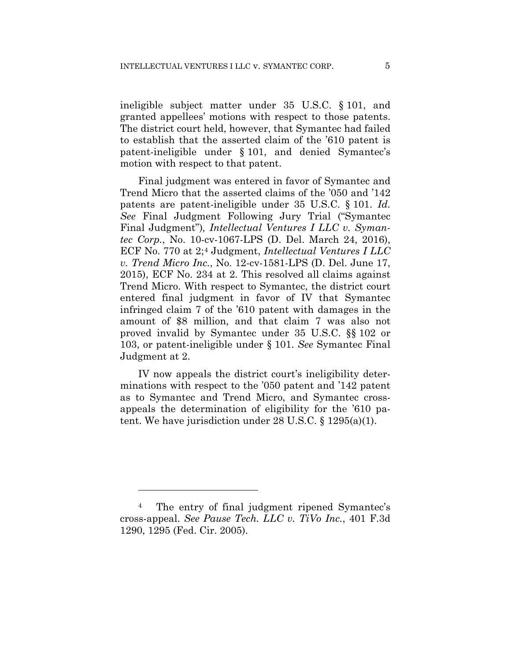ineligible subject matter under 35 U.S.C. § 101, and granted appellees' motions with respect to those patents. The district court held, however, that Symantec had failed to establish that the asserted claim of the '610 patent is patent-ineligible under § 101, and denied Symantec's motion with respect to that patent.

Final judgment was entered in favor of Symantec and Trend Micro that the asserted claims of the '050 and '142 patents are patent-ineligible under 35 U.S.C. § 101. *Id. See* Final Judgment Following Jury Trial ("Symantec Final Judgment")*, Intellectual Ventures I LLC v. Symantec Corp.*, No. 10-cv-1067-LPS (D. Del. March 24, 2016), ECF No. 770 at 2;4 Judgment, *Intellectual Ventures I LLC v. Trend Micro Inc.*, No. 12-cv-1581-LPS (D. Del. June 17, 2015), ECF No. 234 at 2. This resolved all claims against Trend Micro. With respect to Symantec, the district court entered final judgment in favor of IV that Symantec infringed claim 7 of the '610 patent with damages in the amount of \$8 million, and that claim 7 was also not proved invalid by Symantec under 35 U.S.C. §§ 102 or 103, or patent-ineligible under § 101. *See* Symantec Final Judgment at 2.

IV now appeals the district court's ineligibility determinations with respect to the '050 patent and '142 patent as to Symantec and Trend Micro, and Symantec crossappeals the determination of eligibility for the '610 patent. We have jurisdiction under 28 U.S.C. § 1295(a)(1).

1

<sup>4</sup> The entry of final judgment ripened Symantec's cross-appeal. *See Pause Tech. LLC v. TiVo Inc.*, 401 F.3d 1290, 1295 (Fed. Cir. 2005).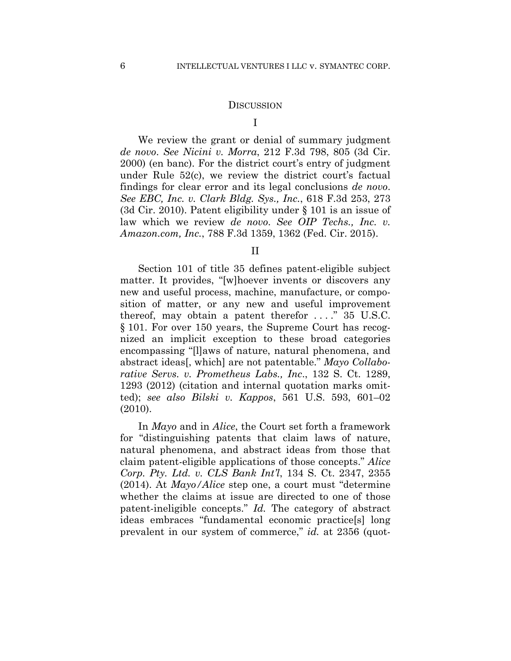#### **DISCUSSION**

I

 We review the grant or denial of summary judgment *de novo*. *See Nicini v. Morra*, 212 F.3d 798, 805 (3d Cir. 2000) (en banc). For the district court's entry of judgment under Rule 52(c), we review the district court's factual findings for clear error and its legal conclusions *de novo*. *See EBC, Inc. v. Clark Bldg. Sys., Inc.*, 618 F.3d 253, 273 (3d Cir. 2010). Patent eligibility under § 101 is an issue of law which we review *de novo*. *See OIP Techs., Inc. v. Amazon.com, Inc.*, 788 F.3d 1359, 1362 (Fed. Cir. 2015).

II

Section 101 of title 35 defines patent-eligible subject matter. It provides, "[w]hoever invents or discovers any new and useful process, machine, manufacture, or composition of matter, or any new and useful improvement thereof, may obtain a patent therefor  $\dots$ ." 35 U.S.C. § 101. For over 150 years, the Supreme Court has recognized an implicit exception to these broad categories encompassing "[l]aws of nature, natural phenomena, and abstract ideas[, which] are not patentable." *Mayo Collaborative Servs. v. Prometheus Labs., Inc*., 132 S. Ct. 1289, 1293 (2012) (citation and internal quotation marks omitted); *see also Bilski v. Kappos*, 561 U.S. 593, 601–02 (2010).

In *Mayo* and in *Alice*, the Court set forth a framework for "distinguishing patents that claim laws of nature, natural phenomena, and abstract ideas from those that claim patent-eligible applications of those concepts." *Alice Corp. Pty. Ltd. v. CLS Bank Int'l*, 134 S. Ct. 2347, 2355 (2014). At *Mayo/Alice* step one, a court must "determine whether the claims at issue are directed to one of those patent-ineligible concepts." *Id.* The category of abstract ideas embraces "fundamental economic practice[s] long prevalent in our system of commerce," *id.* at 2356 (quot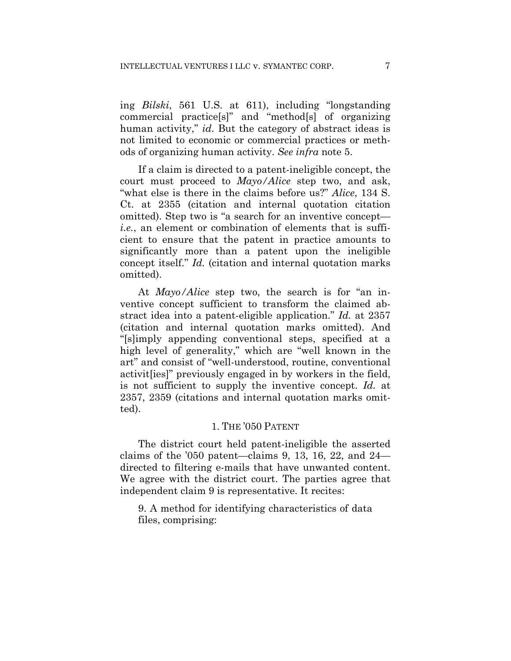ing *Bilski*, 561 U.S. at 611), including "longstanding commercial practice[s]" and "method[s] of organizing human activity," *id*. But the category of abstract ideas is not limited to economic or commercial practices or methods of organizing human activity. *See infra* note 5.

If a claim is directed to a patent-ineligible concept, the court must proceed to *Mayo/Alice* step two, and ask, "what else is there in the claims before us?" *Alice*, 134 S. Ct. at 2355 (citation and internal quotation citation omitted). Step two is "a search for an inventive concept *i.e.*, an element or combination of elements that is sufficient to ensure that the patent in practice amounts to significantly more than a patent upon the ineligible concept itself." *Id.* (citation and internal quotation marks omitted).

At *Mayo/Alice* step two, the search is for "an inventive concept sufficient to transform the claimed abstract idea into a patent-eligible application." *Id.* at 2357 (citation and internal quotation marks omitted). And "[s]imply appending conventional steps, specified at a high level of generality," which are "well known in the art" and consist of "well-understood, routine, conventional activit[ies]" previously engaged in by workers in the field, is not sufficient to supply the inventive concept. *Id.* at 2357, 2359 (citations and internal quotation marks omitted).

### 1. THE '050 PATENT

The district court held patent-ineligible the asserted claims of the '050 patent—claims 9, 13, 16, 22, and 24 directed to filtering e-mails that have unwanted content. We agree with the district court. The parties agree that independent claim 9 is representative. It recites:

9. A method for identifying characteristics of data files, comprising: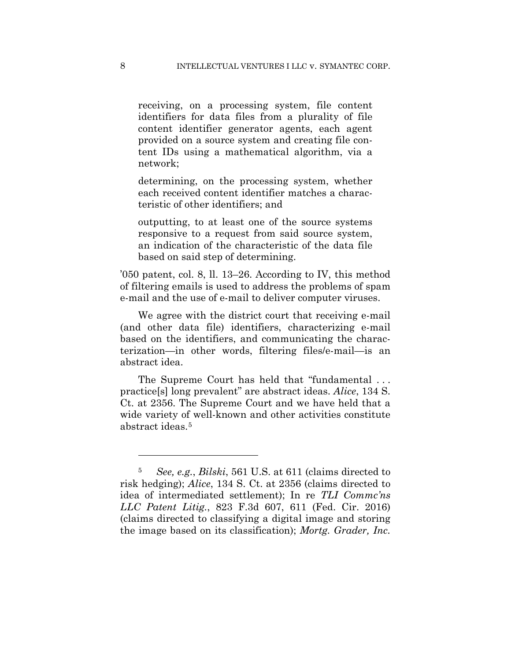receiving, on a processing system, file content identifiers for data files from a plurality of file content identifier generator agents, each agent provided on a source system and creating file content IDs using a mathematical algorithm, via a network;

determining, on the processing system, whether each received content identifier matches a characteristic of other identifiers; and

outputting, to at least one of the source systems responsive to a request from said source system, an indication of the characteristic of the data file based on said step of determining.

'050 patent, col. 8, ll. 13–26. According to IV, this method of filtering emails is used to address the problems of spam e-mail and the use of e-mail to deliver computer viruses.

We agree with the district court that receiving e-mail (and other data file) identifiers, characterizing e-mail based on the identifiers, and communicating the characterization—in other words, filtering files/e-mail—is an abstract idea.

 The Supreme Court has held that "fundamental . . . practice[s] long prevalent" are abstract ideas. *Alice*, 134 S. Ct. at 2356. The Supreme Court and we have held that a wide variety of well-known and other activities constitute abstract ideas.5

1

<sup>5</sup> *See, e.g.*, *Bilski*, 561 U.S. at 611 (claims directed to risk hedging); *Alice*, 134 S. Ct. at 2356 (claims directed to idea of intermediated settlement); In re *TLI Commc'ns LLC Patent Litig.*, 823 F.3d 607, 611 (Fed. Cir. 2016) (claims directed to classifying a digital image and storing the image based on its classification); *Mortg. Grader, Inc.*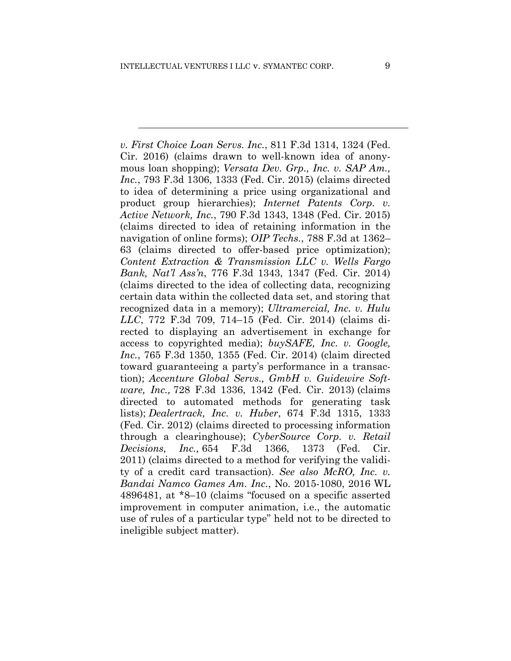*v. First Choice Loan Servs. Inc.*, 811 F.3d 1314, 1324 (Fed. Cir. 2016) (claims drawn to well-known idea of anonymous loan shopping); *Versata Dev. Grp., Inc. v. SAP Am., Inc.*, 793 F.3d 1306, 1333 (Fed. Cir. 2015) (claims directed to idea of determining a price using organizational and product group hierarchies); *Internet Patents Corp. v. Active Network, Inc.*, 790 F.3d 1343, 1348 (Fed. Cir. 2015) (claims directed to idea of retaining information in the navigation of online forms); *OIP Techs.*, 788 F.3d at 1362– 63 (claims directed to offer-based price optimization); *Content Extraction & Transmission LLC v. Wells Fargo Bank, Nat'l Ass'n*, 776 F.3d 1343, 1347 (Fed. Cir. 2014) (claims directed to the idea of collecting data, recognizing certain data within the collected data set, and storing that recognized data in a memory); *Ultramercial, Inc. v. Hulu LLC*, 772 F.3d 709, 714–15 (Fed. Cir. 2014) (claims directed to displaying an advertisement in exchange for access to copyrighted media); *buySAFE, Inc. v. Google, Inc.*, 765 F.3d 1350, 1355 (Fed. Cir. 2014) (claim directed toward guaranteeing a party's performance in a transaction); *Accenture Global Servs., GmbH v. Guidewire Software, Inc.,* 728 F.3d 1336, 1342 (Fed. Cir. 2013) (claims directed to automated methods for generating task lists); *Dealertrack, Inc. v. Huber*, 674 F.3d 1315, 1333 (Fed. Cir. 2012) (claims directed to processing information through a clearinghouse); *CyberSource Corp. v. Retail Decisions, Inc.,* 654 F.3d 1366, 1373 (Fed. Cir. 2011) (claims directed to a method for verifying the validity of a credit card transaction). *See also McRO, Inc. v. Bandai Namco Games Am. Inc.*, No. 2015-1080, 2016 WL 4896481, at \*8–10 (claims "focused on a specific asserted improvement in computer animation, i.e., the automatic use of rules of a particular type" held not to be directed to ineligible subject matter).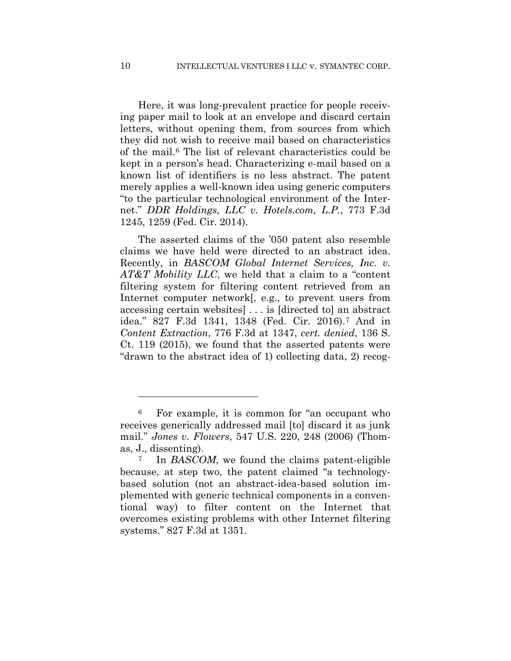Here, it was long-prevalent practice for people receiving paper mail to look at an envelope and discard certain letters, without opening them, from sources from which they did not wish to receive mail based on characteristics of the mail.6 The list of relevant characteristics could be kept in a person's head. Characterizing e-mail based on a known list of identifiers is no less abstract. The patent merely applies a well-known idea using generic computers "to the particular technological environment of the Internet." *DDR Holdings, LLC v. Hotels.com, L.P.*, 773 F.3d 1245, 1259 (Fed. Cir. 2014).

The asserted claims of the '050 patent also resemble claims we have held were directed to an abstract idea. Recently, in *BASCOM Global Internet Services, Inc. v. AT&T Mobility LLC*, we held that a claim to a "content filtering system for filtering content retrieved from an Internet computer network[, e.g., to prevent users from accessing certain websites] . . . is [directed to] an abstract idea." 827 F.3d 1341, 1348 (Fed. Cir. 2016).7 And in *Content Extraction*, 776 F.3d at 1347, *cert. denied*, 136 S. Ct. 119 (2015), we found that the asserted patents were "drawn to the abstract idea of 1) collecting data, 2) recog-

1

<sup>6</sup> For example, it is common for "an occupant who receives generically addressed mail [to] discard it as junk mail." *Jones v. Flowers*, 547 U.S. 220, 248 (2006) (Thomas, J., dissenting).

<sup>7</sup> In *BASCOM*, we found the claims patent-eligible because, at step two, the patent claimed "a technologybased solution (not an abstract-idea-based solution implemented with generic technical components in a conventional way) to filter content on the Internet that overcomes existing problems with other Internet filtering systems." 827 F.3d at 1351.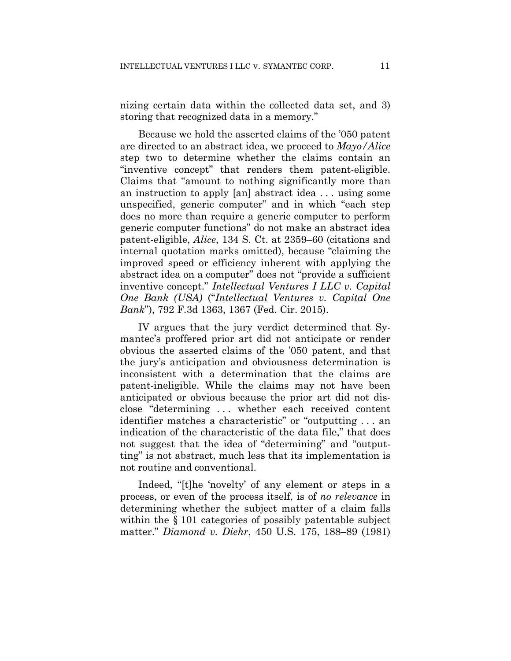nizing certain data within the collected data set, and 3) storing that recognized data in a memory."

Because we hold the asserted claims of the '050 patent are directed to an abstract idea, we proceed to *Mayo/Alice* step two to determine whether the claims contain an "inventive concept" that renders them patent-eligible. Claims that "amount to nothing significantly more than an instruction to apply [an] abstract idea . . . using some unspecified, generic computer" and in which "each step does no more than require a generic computer to perform generic computer functions" do not make an abstract idea patent-eligible, *Alice*, 134 S. Ct. at 2359–60 (citations and internal quotation marks omitted), because "claiming the improved speed or efficiency inherent with applying the abstract idea on a computer" does not "provide a sufficient inventive concept." *Intellectual Ventures I LLC v. Capital One Bank (USA)* ("*Intellectual Ventures v. Capital One Bank*"), 792 F.3d 1363, 1367 (Fed. Cir. 2015).

IV argues that the jury verdict determined that Symantec's proffered prior art did not anticipate or render obvious the asserted claims of the '050 patent, and that the jury's anticipation and obviousness determination is inconsistent with a determination that the claims are patent-ineligible. While the claims may not have been anticipated or obvious because the prior art did not disclose "determining . . . whether each received content identifier matches a characteristic" or "outputting . . . an indication of the characteristic of the data file," that does not suggest that the idea of "determining" and "outputting" is not abstract, much less that its implementation is not routine and conventional.

Indeed, "[t]he 'novelty' of any element or steps in a process, or even of the process itself, is of *no relevance* in determining whether the subject matter of a claim falls within the  $\S 101$  categories of possibly patentable subject matter." *Diamond v. Diehr*, 450 U.S. 175, 188–89 (1981)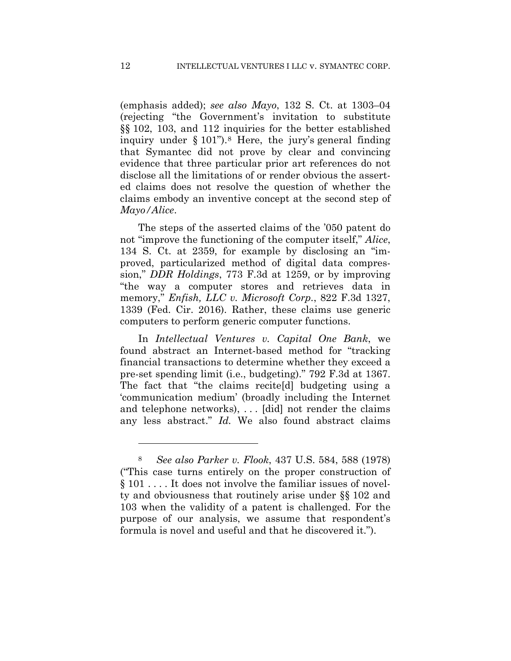(emphasis added); *see also Mayo*, 132 S. Ct. at 1303–04 (rejecting "the Government's invitation to substitute §§ 102, 103, and 112 inquiries for the better established inquiry under  $\S 101$ ").<sup>8</sup> Here, the jury's general finding that Symantec did not prove by clear and convincing evidence that three particular prior art references do not disclose all the limitations of or render obvious the asserted claims does not resolve the question of whether the claims embody an inventive concept at the second step of *Mayo/Alice*.

The steps of the asserted claims of the '050 patent do not "improve the functioning of the computer itself," *Alice*, 134 S. Ct. at 2359, for example by disclosing an "improved, particularized method of digital data compression," *DDR Holdings*, 773 F.3d at 1259, or by improving "the way a computer stores and retrieves data in memory," *Enfish, LLC v. Microsoft Corp.*, 822 F.3d 1327, 1339 (Fed. Cir. 2016). Rather, these claims use generic computers to perform generic computer functions.

In *Intellectual Ventures v. Capital One Bank*, we found abstract an Internet-based method for "tracking financial transactions to determine whether they exceed a pre-set spending limit (i.e., budgeting)." 792 F.3d at 1367. The fact that "the claims recite[d] budgeting using a 'communication medium' (broadly including the Internet and telephone networks), . . . [did] not render the claims any less abstract." *Id.* We also found abstract claims

 $\overline{a}$ 

<sup>8</sup> *See also Parker v. Flook*, 437 U.S. 584, 588 (1978) ("This case turns entirely on the proper construction of § 101 . . . . It does not involve the familiar issues of novelty and obviousness that routinely arise under §§ 102 and 103 when the validity of a patent is challenged. For the purpose of our analysis, we assume that respondent's formula is novel and useful and that he discovered it.").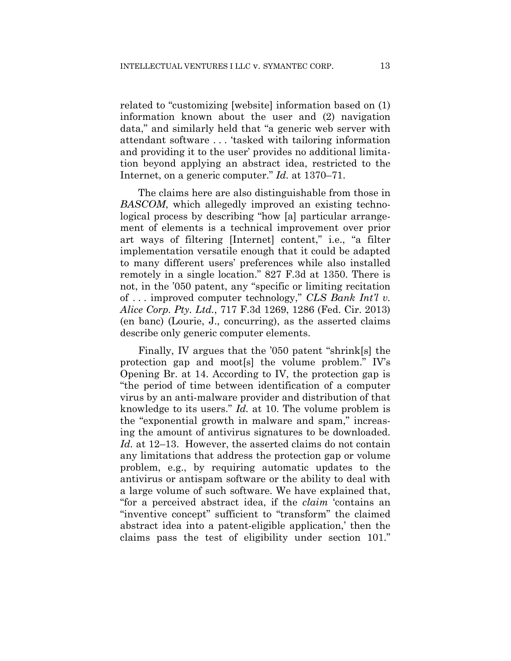related to "customizing [website] information based on (1) information known about the user and (2) navigation data," and similarly held that "a generic web server with attendant software . . . 'tasked with tailoring information and providing it to the user' provides no additional limitation beyond applying an abstract idea, restricted to the Internet, on a generic computer." *Id.* at 1370–71.

The claims here are also distinguishable from those in *BASCOM*, which allegedly improved an existing technological process by describing "how [a] particular arrangement of elements is a technical improvement over prior art ways of filtering [Internet] content," i.e., "a filter implementation versatile enough that it could be adapted to many different users' preferences while also installed remotely in a single location." 827 F.3d at 1350. There is not, in the '050 patent, any "specific or limiting recitation of . . . improved computer technology," *CLS Bank Int'l v. Alice Corp. Pty. Ltd.*, 717 F.3d 1269, 1286 (Fed. Cir. 2013) (en banc) (Lourie, J., concurring), as the asserted claims describe only generic computer elements.

Finally, IV argues that the '050 patent "shrink[s] the protection gap and moot[s] the volume problem." IV's Opening Br. at 14. According to IV, the protection gap is "the period of time between identification of a computer virus by an anti-malware provider and distribution of that knowledge to its users." *Id.* at 10. The volume problem is the "exponential growth in malware and spam," increasing the amount of antivirus signatures to be downloaded. *Id.* at 12–13. However, the asserted claims do not contain any limitations that address the protection gap or volume problem, e.g., by requiring automatic updates to the antivirus or antispam software or the ability to deal with a large volume of such software. We have explained that, "for a perceived abstract idea, if the *claim* 'contains an "inventive concept" sufficient to "transform" the claimed abstract idea into a patent-eligible application,' then the claims pass the test of eligibility under section 101."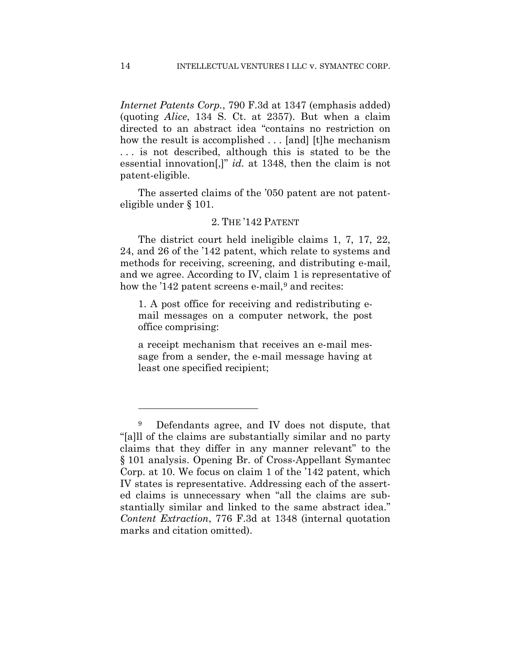*Internet Patents Corp.*, 790 F.3d at 1347 (emphasis added) (quoting *Alice*, 134 S. Ct. at 2357). But when a claim directed to an abstract idea "contains no restriction on how the result is accomplished . . . [and] [t]he mechanism . . . is not described, although this is stated to be the essential innovation[,]" *id.* at 1348, then the claim is not patent-eligible.

The asserted claims of the '050 patent are not patenteligible under § 101.

#### 2. THE '142 PATENT

The district court held ineligible claims 1, 7, 17, 22, 24, and 26 of the '142 patent, which relate to systems and methods for receiving, screening, and distributing e-mail, and we agree. According to IV, claim 1 is representative of how the '142 patent screens e-mail, $9$  and recites:

1. A post office for receiving and redistributing email messages on a computer network, the post office comprising:

a receipt mechanism that receives an e-mail message from a sender, the e-mail message having at least one specified recipient;

 $\overline{a}$ 

<sup>9</sup> Defendants agree, and IV does not dispute, that "[a]ll of the claims are substantially similar and no party claims that they differ in any manner relevant" to the § 101 analysis. Opening Br. of Cross-Appellant Symantec Corp. at 10. We focus on claim 1 of the '142 patent, which IV states is representative. Addressing each of the asserted claims is unnecessary when "all the claims are substantially similar and linked to the same abstract idea." *Content Extraction*, 776 F.3d at 1348 (internal quotation marks and citation omitted).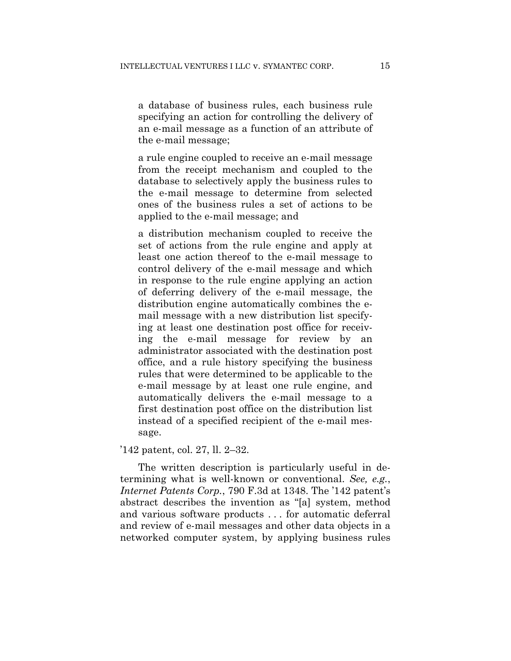a database of business rules, each business rule specifying an action for controlling the delivery of an e-mail message as a function of an attribute of the e-mail message;

a rule engine coupled to receive an e-mail message from the receipt mechanism and coupled to the database to selectively apply the business rules to the e-mail message to determine from selected ones of the business rules a set of actions to be applied to the e-mail message; and

a distribution mechanism coupled to receive the set of actions from the rule engine and apply at least one action thereof to the e-mail message to control delivery of the e-mail message and which in response to the rule engine applying an action of deferring delivery of the e-mail message, the distribution engine automatically combines the email message with a new distribution list specifying at least one destination post office for receiving the e-mail message for review by an administrator associated with the destination post office, and a rule history specifying the business rules that were determined to be applicable to the e-mail message by at least one rule engine, and automatically delivers the e-mail message to a first destination post office on the distribution list instead of a specified recipient of the e-mail message.

'142 patent, col. 27, ll. 2–32.

The written description is particularly useful in determining what is well-known or conventional. *See, e.g.*, *Internet Patents Corp.*, 790 F.3d at 1348. The '142 patent's abstract describes the invention as "[a] system, method and various software products . . . for automatic deferral and review of e-mail messages and other data objects in a networked computer system, by applying business rules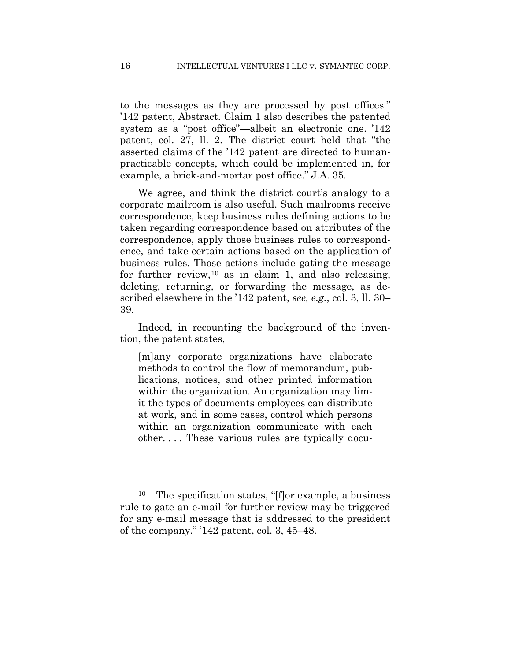to the messages as they are processed by post offices." '142 patent, Abstract. Claim 1 also describes the patented system as a "post office"—albeit an electronic one. '142 patent, col. 27, ll. 2. The district court held that "the asserted claims of the '142 patent are directed to humanpracticable concepts, which could be implemented in, for example, a brick-and-mortar post office." J.A. 35.

We agree, and think the district court's analogy to a corporate mailroom is also useful. Such mailrooms receive correspondence, keep business rules defining actions to be taken regarding correspondence based on attributes of the correspondence, apply those business rules to correspondence, and take certain actions based on the application of business rules. Those actions include gating the message for further review,  $10$  as in claim 1, and also releasing, deleting, returning, or forwarding the message, as described elsewhere in the '142 patent, *see, e.g.*, col. 3, ll. 30– 39.

Indeed, in recounting the background of the invention, the patent states,

[m]any corporate organizations have elaborate methods to control the flow of memorandum, publications, notices, and other printed information within the organization. An organization may limit the types of documents employees can distribute at work, and in some cases, control which persons within an organization communicate with each other. . . . These various rules are typically docu-

 $\overline{a}$ 

<sup>10</sup> The specification states, "[f]or example, a business rule to gate an e-mail for further review may be triggered for any e-mail message that is addressed to the president of the company." '142 patent, col. 3, 45–48.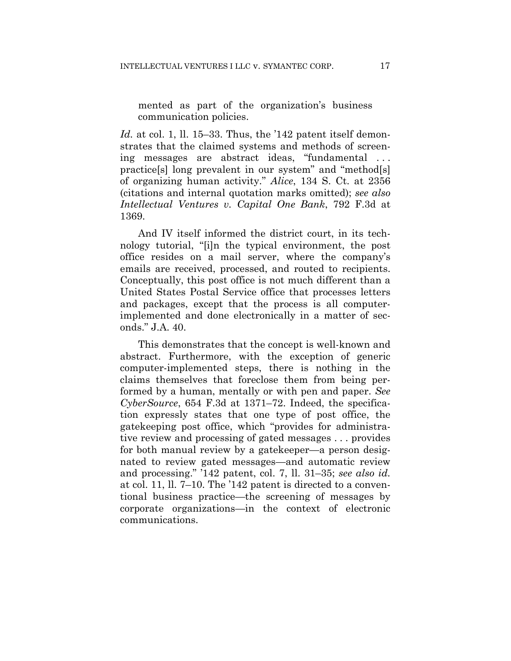mented as part of the organization's business communication policies.

*Id.* at col. 1, ll. 15–33. Thus, the '142 patent itself demonstrates that the claimed systems and methods of screening messages are abstract ideas, "fundamental . . . practice[s] long prevalent in our system" and "method[s] of organizing human activity." *Alice*, 134 S. Ct. at 2356 (citations and internal quotation marks omitted); *see also Intellectual Ventures v. Capital One Bank*, 792 F.3d at 1369.

And IV itself informed the district court, in its technology tutorial, "[i]n the typical environment, the post office resides on a mail server, where the company's emails are received, processed, and routed to recipients. Conceptually, this post office is not much different than a United States Postal Service office that processes letters and packages, except that the process is all computerimplemented and done electronically in a matter of seconds." J.A. 40.

This demonstrates that the concept is well-known and abstract. Furthermore, with the exception of generic computer-implemented steps, there is nothing in the claims themselves that foreclose them from being performed by a human, mentally or with pen and paper. *See CyberSource*, 654 F.3d at 1371–72. Indeed, the specification expressly states that one type of post office, the gatekeeping post office, which "provides for administrative review and processing of gated messages . . . provides for both manual review by a gatekeeper—a person designated to review gated messages—and automatic review and processing." '142 patent, col. 7, ll. 31–35; *see also id.* at col. 11, ll. 7–10. The '142 patent is directed to a conventional business practice—the screening of messages by corporate organizations—in the context of electronic communications.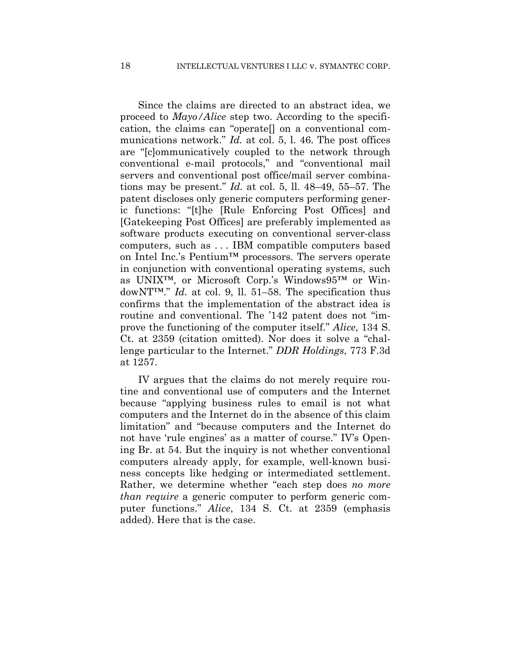Since the claims are directed to an abstract idea, we proceed to *Mayo/Alice* step two. According to the specification, the claims can "operate[] on a conventional communications network." *Id.* at col. 5, l. 46. The post offices are "[c]ommunicatively coupled to the network through conventional e-mail protocols," and "conventional mail servers and conventional post office/mail server combinations may be present." *Id.* at col. 5, ll. 48–49, 55–57. The patent discloses only generic computers performing generic functions: "[t]he [Rule Enforcing Post Offices] and [Gatekeeping Post Offices] are preferably implemented as software products executing on conventional server-class computers, such as . . . IBM compatible computers based on Intel Inc.'s Pentium™ processors. The servers operate in conjunction with conventional operating systems, such as UNIX™, or Microsoft Corp.'s Windows95™ or WindowNT™." *Id.* at col. 9, ll. 51–58. The specification thus confirms that the implementation of the abstract idea is routine and conventional. The '142 patent does not "improve the functioning of the computer itself." *Alice*, 134 S. Ct. at 2359 (citation omitted). Nor does it solve a "challenge particular to the Internet." *DDR Holdings*, 773 F.3d at 1257.

IV argues that the claims do not merely require routine and conventional use of computers and the Internet because "applying business rules to email is not what computers and the Internet do in the absence of this claim limitation" and "because computers and the Internet do not have 'rule engines' as a matter of course." IV's Opening Br. at 54. But the inquiry is not whether conventional computers already apply, for example, well-known business concepts like hedging or intermediated settlement. Rather, we determine whether "each step does *no more than require* a generic computer to perform generic computer functions." *Alice*, 134 S. Ct. at 2359 (emphasis added). Here that is the case.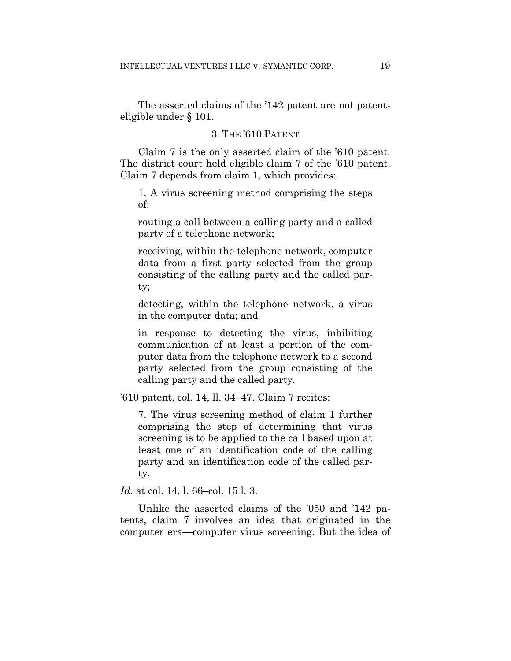The asserted claims of the '142 patent are not patenteligible under § 101.

#### 3. THE '610 PATENT

Claim 7 is the only asserted claim of the '610 patent. The district court held eligible claim 7 of the '610 patent. Claim 7 depends from claim 1, which provides:

1. A virus screening method comprising the steps of:

routing a call between a calling party and a called party of a telephone network;

receiving, within the telephone network, computer data from a first party selected from the group consisting of the calling party and the called party;

detecting, within the telephone network, a virus in the computer data; and

in response to detecting the virus, inhibiting communication of at least a portion of the computer data from the telephone network to a second party selected from the group consisting of the calling party and the called party.

'610 patent, col. 14, ll. 34–47. Claim 7 recites:

7. The virus screening method of claim 1 further comprising the step of determining that virus screening is to be applied to the call based upon at least one of an identification code of the calling party and an identification code of the called party.

*Id.* at col. 14, l. 66–col. 15 l. 3.

 Unlike the asserted claims of the '050 and '142 patents, claim 7 involves an idea that originated in the computer era—computer virus screening. But the idea of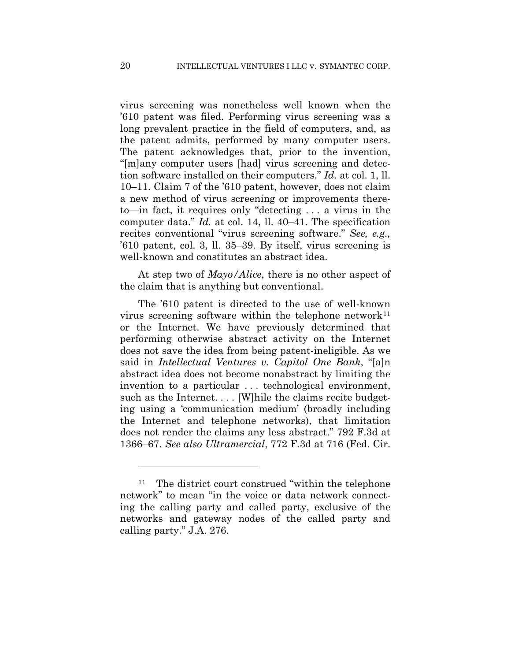virus screening was nonetheless well known when the '610 patent was filed. Performing virus screening was a long prevalent practice in the field of computers, and, as the patent admits, performed by many computer users. The patent acknowledges that, prior to the invention, "[m]any computer users [had] virus screening and detection software installed on their computers." *Id.* at col. 1, ll. 10–11. Claim 7 of the '610 patent, however, does not claim a new method of virus screening or improvements thereto—in fact, it requires only "detecting . . . a virus in the computer data." *Id.* at col. 14, ll. 40–41. The specification recites conventional "virus screening software." *See, e.g.,* '610 patent, col. 3, ll. 35–39. By itself, virus screening is well-known and constitutes an abstract idea.

At step two of *Mayo/Alice*, there is no other aspect of the claim that is anything but conventional.

The '610 patent is directed to the use of well-known virus screening software within the telephone network<sup>11</sup> or the Internet. We have previously determined that performing otherwise abstract activity on the Internet does not save the idea from being patent-ineligible. As we said in *Intellectual Ventures v. Capitol One Bank*, "[a]n abstract idea does not become nonabstract by limiting the invention to a particular . . . technological environment, such as the Internet. . . . [W]hile the claims recite budgeting using a 'communication medium' (broadly including the Internet and telephone networks), that limitation does not render the claims any less abstract." 792 F.3d at 1366–67. *See also Ultramercial*, 772 F.3d at 716 (Fed. Cir.

1

<sup>11</sup> The district court construed "within the telephone network" to mean "in the voice or data network connecting the calling party and called party, exclusive of the networks and gateway nodes of the called party and calling party." J.A. 276.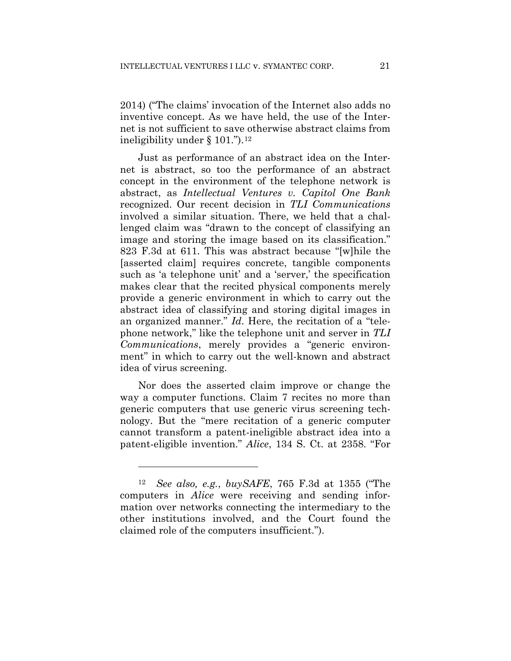2014) ("The claims' invocation of the Internet also adds no inventive concept. As we have held, the use of the Internet is not sufficient to save otherwise abstract claims from ineligibility under  $\S$  101.").<sup>12</sup>

Just as performance of an abstract idea on the Internet is abstract, so too the performance of an abstract concept in the environment of the telephone network is abstract, as *Intellectual Ventures v. Capitol One Bank* recognized. Our recent decision in *TLI Communications*  involved a similar situation. There, we held that a challenged claim was "drawn to the concept of classifying an image and storing the image based on its classification." 823 F.3d at 611. This was abstract because "[w]hile the [asserted claim] requires concrete, tangible components such as 'a telephone unit' and a 'server,' the specification makes clear that the recited physical components merely provide a generic environment in which to carry out the abstract idea of classifying and storing digital images in an organized manner." *Id*. Here, the recitation of a "telephone network," like the telephone unit and server in *TLI Communications*, merely provides a "generic environment" in which to carry out the well-known and abstract idea of virus screening.

Nor does the asserted claim improve or change the way a computer functions. Claim 7 recites no more than generic computers that use generic virus screening technology. But the "mere recitation of a generic computer cannot transform a patent-ineligible abstract idea into a patent-eligible invention." *Alice*, 134 S. Ct. at 2358. "For

1

<sup>12</sup> *See also, e.g.*, *buySAFE*, 765 F.3d at 1355 ("The computers in *Alice* were receiving and sending information over networks connecting the intermediary to the other institutions involved, and the Court found the claimed role of the computers insufficient.").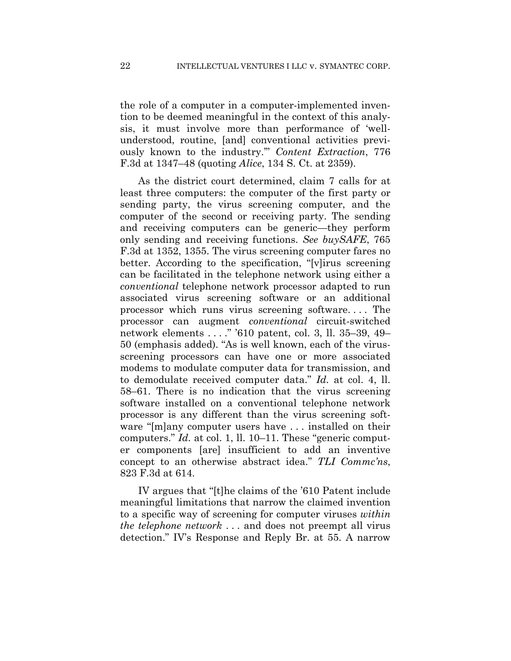the role of a computer in a computer-implemented invention to be deemed meaningful in the context of this analysis, it must involve more than performance of 'wellunderstood, routine, [and] conventional activities previously known to the industry.'" *Content Extraction*, 776 F.3d at 1347–48 (quoting *Alice*, 134 S. Ct. at 2359).

As the district court determined, claim 7 calls for at least three computers: the computer of the first party or sending party, the virus screening computer, and the computer of the second or receiving party. The sending and receiving computers can be generic—they perform only sending and receiving functions. *See buySAFE*, 765 F.3d at 1352, 1355. The virus screening computer fares no better. According to the specification, "[v]irus screening can be facilitated in the telephone network using either a *conventional* telephone network processor adapted to run associated virus screening software or an additional processor which runs virus screening software. . . . The processor can augment *conventional* circuit-switched network elements . . . ." '610 patent, col. 3, ll. 35–39, 49– 50 (emphasis added). "As is well known, each of the virusscreening processors can have one or more associated modems to modulate computer data for transmission, and to demodulate received computer data." *Id.* at col. 4, ll. 58–61. There is no indication that the virus screening software installed on a conventional telephone network processor is any different than the virus screening software "[m]any computer users have . . . installed on their computers." *Id.* at col. 1, ll. 10–11. These "generic computer components [are] insufficient to add an inventive concept to an otherwise abstract idea." *TLI Commc'ns*, 823 F.3d at 614.

IV argues that "[t]he claims of the '610 Patent include meaningful limitations that narrow the claimed invention to a specific way of screening for computer viruses *within the telephone network* . . . and does not preempt all virus detection." IV's Response and Reply Br. at 55. A narrow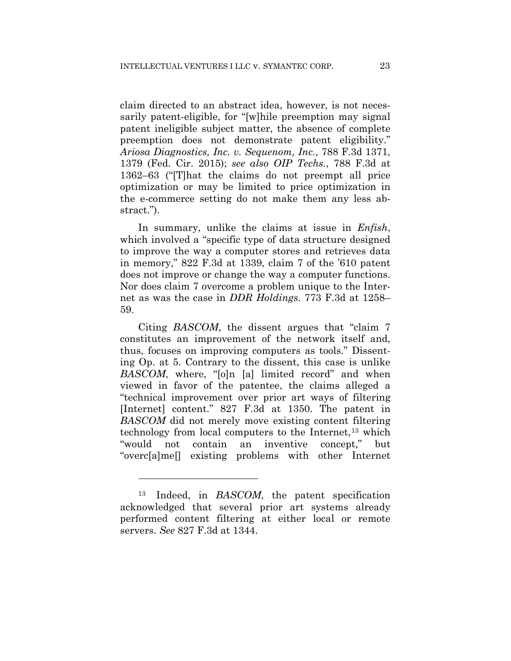claim directed to an abstract idea, however, is not necessarily patent-eligible, for "[w]hile preemption may signal patent ineligible subject matter, the absence of complete preemption does not demonstrate patent eligibility." *Ariosa Diagnostics, Inc. v. Sequenom, Inc.*, 788 F.3d 1371, 1379 (Fed. Cir. 2015); *see also OIP Techs.*, 788 F.3d at 1362–63 ("[T]hat the claims do not preempt all price optimization or may be limited to price optimization in the e-commerce setting do not make them any less abstract.").

In summary, unlike the claims at issue in *Enfish*, which involved a "specific type of data structure designed to improve the way a computer stores and retrieves data in memory," 822 F.3d at 1339, claim 7 of the '610 patent does not improve or change the way a computer functions. Nor does claim 7 overcome a problem unique to the Internet as was the case in *DDR Holdings*. 773 F.3d at 1258– 59.

Citing *BASCOM*, the dissent argues that "claim 7 constitutes an improvement of the network itself and, thus, focuses on improving computers as tools." Dissenting Op. at 5. Contrary to the dissent, this case is unlike *BASCOM*, where, "[o]n [a] limited record" and when viewed in favor of the patentee, the claims alleged a "technical improvement over prior art ways of filtering [Internet] content." 827 F.3d at 1350. The patent in *BASCOM* did not merely move existing content filtering technology from local computers to the Internet,<sup>13</sup> which "would not contain an inventive concept," but "overc[a]me[] existing problems with other Internet

 $\overline{a}$ 

<sup>13</sup> Indeed, in *BASCOM*, the patent specification acknowledged that several prior art systems already performed content filtering at either local or remote servers. *See* 827 F.3d at 1344.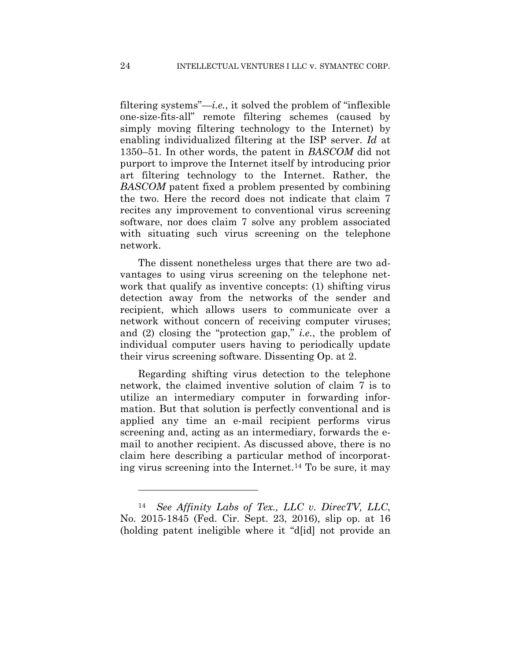filtering systems"—*i.e.*, it solved the problem of "inflexible one-size-fits-all" remote filtering schemes (caused by simply moving filtering technology to the Internet) by enabling individualized filtering at the ISP server. *Id* at 1350–51*.* In other words, the patent in *BASCOM* did not purport to improve the Internet itself by introducing prior art filtering technology to the Internet. Rather, the *BASCOM* patent fixed a problem presented by combining the two. Here the record does not indicate that claim 7 recites any improvement to conventional virus screening software, nor does claim 7 solve any problem associated with situating such virus screening on the telephone network.

The dissent nonetheless urges that there are two advantages to using virus screening on the telephone network that qualify as inventive concepts: (1) shifting virus detection away from the networks of the sender and recipient, which allows users to communicate over a network without concern of receiving computer viruses; and (2) closing the "protection gap," *i.e.*, the problem of individual computer users having to periodically update their virus screening software. Dissenting Op. at 2.

Regarding shifting virus detection to the telephone network, the claimed inventive solution of claim 7 is to utilize an intermediary computer in forwarding information. But that solution is perfectly conventional and is applied any time an e-mail recipient performs virus screening and, acting as an intermediary, forwards the email to another recipient. As discussed above, there is no claim here describing a particular method of incorporating virus screening into the Internet.14 To be sure, it may

1

<sup>14</sup> *See Affinity Labs of Tex., LLC v. DirecTV, LLC*, No. 2015-1845 (Fed. Cir. Sept. 23, 2016), slip op. at 16 (holding patent ineligible where it "d[id] not provide an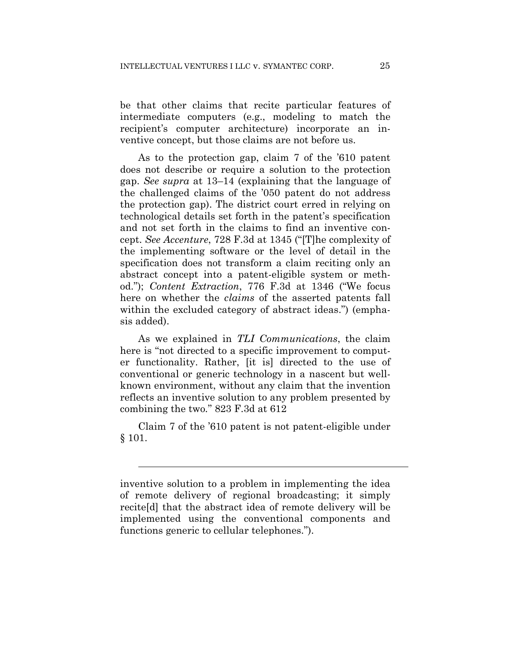be that other claims that recite particular features of intermediate computers (e.g., modeling to match the recipient's computer architecture) incorporate an inventive concept, but those claims are not before us.

As to the protection gap, claim 7 of the '610 patent does not describe or require a solution to the protection gap. *See supra* at 13–14 (explaining that the language of the challenged claims of the '050 patent do not address the protection gap). The district court erred in relying on technological details set forth in the patent's specification and not set forth in the claims to find an inventive concept. *See Accenture*, 728 F.3d at 1345 ("[T]he complexity of the implementing software or the level of detail in the specification does not transform a claim reciting only an abstract concept into a patent-eligible system or method."); *Content Extraction*, 776 F.3d at 1346 ("We focus here on whether the *claims* of the asserted patents fall within the excluded category of abstract ideas.") (emphasis added).

As we explained in *TLI Communications*, the claim here is "not directed to a specific improvement to computer functionality. Rather, [it is] directed to the use of conventional or generic technology in a nascent but wellknown environment, without any claim that the invention reflects an inventive solution to any problem presented by combining the two*.*" 823 F.3d at 612

Claim 7 of the '610 patent is not patent-eligible under § 101.

l

inventive solution to a problem in implementing the idea of remote delivery of regional broadcasting; it simply recite[d] that the abstract idea of remote delivery will be implemented using the conventional components and functions generic to cellular telephones.").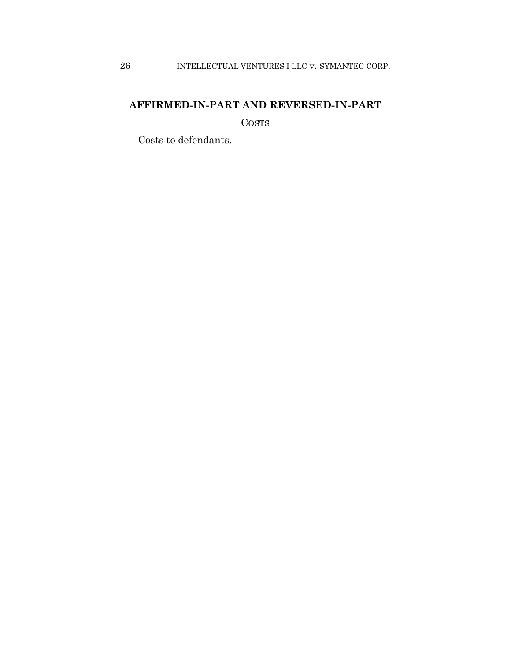## **AFFIRMED-IN-PART AND REVERSED-IN-PART**

COSTS

Costs to defendants.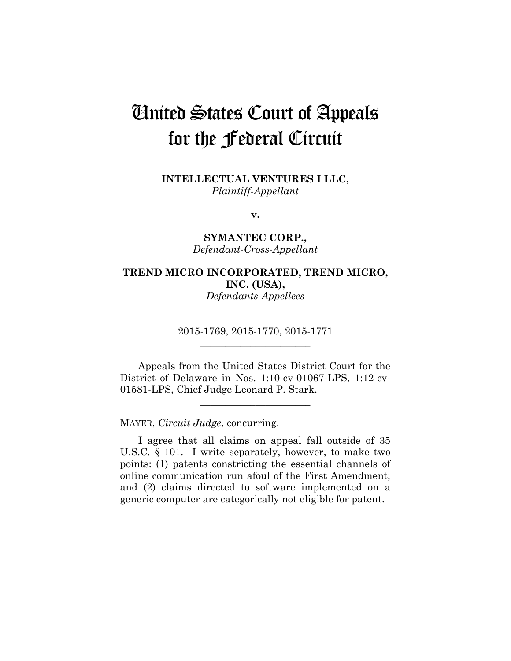# United States Court of Appeals for the Federal Circuit

**\_\_\_\_\_\_\_\_\_\_\_\_\_\_\_\_\_\_\_\_\_\_** 

**INTELLECTUAL VENTURES I LLC,** *Plaintiff-Appellant*

**v.**

**SYMANTEC CORP.,** *Defendant-Cross-Appellant*

### **TREND MICRO INCORPORATED, TREND MICRO, INC. (USA),** *Defendants-Appellees*

2015-1769, 2015-1770, 2015-1771

**\_\_\_\_\_\_\_\_\_\_\_\_\_\_\_\_\_\_\_\_\_\_** 

**\_\_\_\_\_\_\_\_\_\_\_\_\_\_\_\_\_\_\_\_\_\_** 

Appeals from the United States District Court for the District of Delaware in Nos. 1:10-cv-01067-LPS, 1:12-cv-01581-LPS, Chief Judge Leonard P. Stark.

**\_\_\_\_\_\_\_\_\_\_\_\_\_\_\_\_\_\_\_\_\_\_** 

MAYER, *Circuit Judge*, concurring.

I agree that all claims on appeal fall outside of 35 U.S.C. § 101. I write separately, however, to make two points: (1) patents constricting the essential channels of online communication run afoul of the First Amendment; and (2) claims directed to software implemented on a generic computer are categorically not eligible for patent.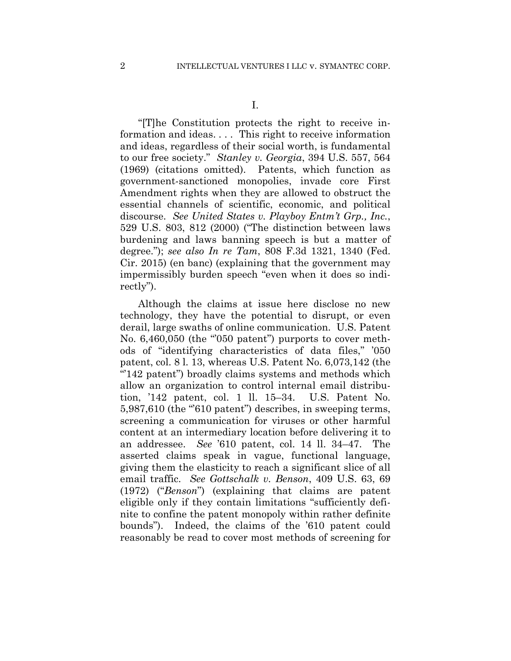I.

"[T]he Constitution protects the right to receive information and ideas. . . . This right to receive information and ideas, regardless of their social worth, is fundamental to our free society." *Stanley v. Georgia*, 394 U.S. 557, 564 (1969) (citations omitted). Patents, which function as government-sanctioned monopolies, invade core First Amendment rights when they are allowed to obstruct the essential channels of scientific, economic, and political discourse. *See United States v. Playboy Entm't Grp., Inc.*, 529 U.S. 803, 812 (2000) ("The distinction between laws burdening and laws banning speech is but a matter of degree."); *see also In re Tam*, 808 F.3d 1321, 1340 (Fed. Cir. 2015) (en banc) (explaining that the government may impermissibly burden speech "even when it does so indirectly").

Although the claims at issue here disclose no new technology, they have the potential to disrupt, or even derail, large swaths of online communication. U.S. Patent No. 6,460,050 (the "050 patent") purports to cover methods of "identifying characteristics of data files," '050 patent, col. 8 l. 13, whereas U.S. Patent No. 6,073,142 (the " $142$  patent") broadly claims systems and methods which allow an organization to control internal email distribution, '142 patent, col. 1 ll. 15–34. U.S. Patent No. 5,987,610 (the "610 patent") describes, in sweeping terms, screening a communication for viruses or other harmful content at an intermediary location before delivering it to an addressee. *See* '610 patent, col. 14 ll. 34–47. The asserted claims speak in vague, functional language, giving them the elasticity to reach a significant slice of all email traffic. *See Gottschalk v. Benson*, 409 U.S. 63, 69 (1972) ("*Benson*") (explaining that claims are patent eligible only if they contain limitations "sufficiently definite to confine the patent monopoly within rather definite bounds"). Indeed, the claims of the '610 patent could reasonably be read to cover most methods of screening for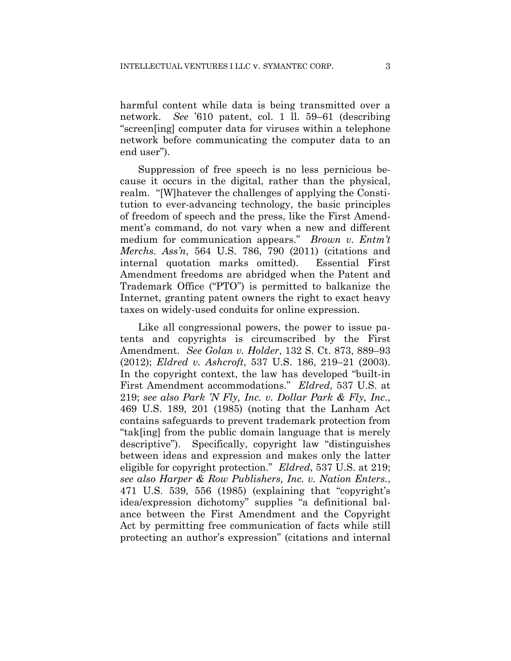harmful content while data is being transmitted over a network. *See* '610 patent, col. 1 ll. 59–61 (describing "screen[ing] computer data for viruses within a telephone network before communicating the computer data to an end user").

Suppression of free speech is no less pernicious because it occurs in the digital, rather than the physical, realm. "[W]hatever the challenges of applying the Constitution to ever-advancing technology, the basic principles of freedom of speech and the press, like the First Amendment's command, do not vary when a new and different medium for communication appears." *Brown v. Entm't Merchs. Ass'n*, 564 U.S. 786, 790 (2011) (citations and internal quotation marks omitted). Essential First Amendment freedoms are abridged when the Patent and Trademark Office ("PTO") is permitted to balkanize the Internet, granting patent owners the right to exact heavy taxes on widely-used conduits for online expression.

Like all congressional powers, the power to issue patents and copyrights is circumscribed by the First Amendment. *See Golan v. Holder*, 132 S. Ct. 873, 889–93 (2012); *Eldred v. Ashcroft*, 537 U.S. 186, 219–21 (2003). In the copyright context, the law has developed "built-in First Amendment accommodations." *Eldred*, 537 U.S. at 219; *see also Park 'N Fly, Inc. v. Dollar Park & Fly, Inc*., 469 U.S. 189, 201 (1985) (noting that the Lanham Act contains safeguards to prevent trademark protection from "tak[ing] from the public domain language that is merely descriptive"). Specifically, copyright law "distinguishes between ideas and expression and makes only the latter eligible for copyright protection." *Eldred*, 537 U.S. at 219; *see also Harper & Row Publishers, Inc. v. Nation Enters.*, 471 U.S. 539, 556 (1985) (explaining that "copyright's idea/expression dichotomy" supplies "a definitional balance between the First Amendment and the Copyright Act by permitting free communication of facts while still protecting an author's expression" (citations and internal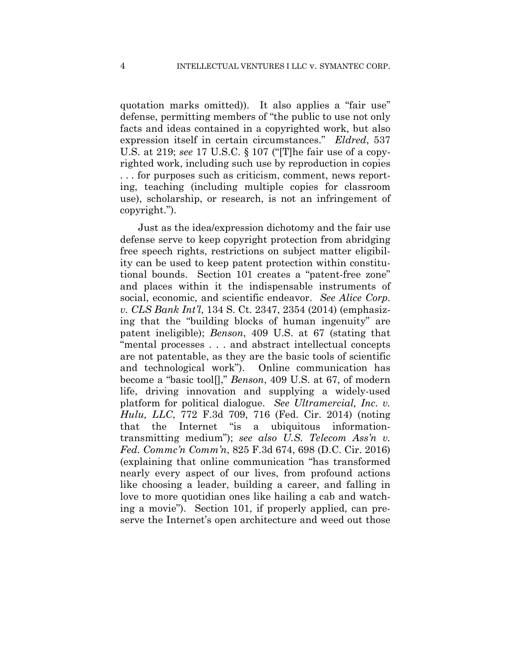quotation marks omitted)). It also applies a "fair use" defense, permitting members of "the public to use not only facts and ideas contained in a copyrighted work, but also expression itself in certain circumstances." *Eldred*, 537 U.S. at 219; *see* 17 U.S.C. § 107 ("[T]he fair use of a copyrighted work, including such use by reproduction in copies . . . for purposes such as criticism, comment, news reporting, teaching (including multiple copies for classroom use), scholarship, or research, is not an infringement of copyright.").

Just as the idea/expression dichotomy and the fair use defense serve to keep copyright protection from abridging free speech rights, restrictions on subject matter eligibility can be used to keep patent protection within constitutional bounds. Section 101 creates a "patent-free zone" and places within it the indispensable instruments of social, economic, and scientific endeavor. *See Alice Corp. v. CLS Bank Int'l*, 134 S. Ct. 2347, 2354 (2014) (emphasizing that the "building blocks of human ingenuity" are patent ineligible); *Benson*, 409 U.S. at 67 (stating that "mental processes . . . and abstract intellectual concepts are not patentable, as they are the basic tools of scientific and technological work"). Online communication has become a "basic tool[]," *Benson*, 409 U.S. at 67, of modern life, driving innovation and supplying a widely-used platform for political dialogue. *See Ultramercial, Inc. v. Hulu, LLC*, 772 F.3d 709, 716 (Fed. Cir. 2014) (noting that the Internet "is a ubiquitous informationtransmitting medium"); *see also U.S. Telecom Ass'n v. Fed. Commc'n Comm'n*, 825 F.3d 674, 698 (D.C. Cir. 2016) (explaining that online communication "has transformed nearly every aspect of our lives, from profound actions like choosing a leader, building a career, and falling in love to more quotidian ones like hailing a cab and watching a movie"). Section 101, if properly applied, can preserve the Internet's open architecture and weed out those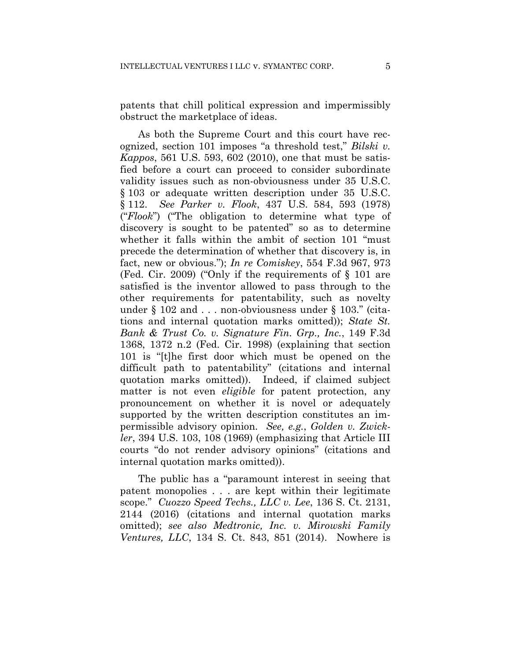patents that chill political expression and impermissibly obstruct the marketplace of ideas.

As both the Supreme Court and this court have recognized, section 101 imposes "a threshold test," *Bilski v. Kappos*, 561 U.S. 593, 602 (2010), one that must be satisfied before a court can proceed to consider subordinate validity issues such as non-obviousness under 35 U.S.C. § 103 or adequate written description under 35 U.S.C. § 112. *See Parker v. Flook*, 437 U.S. 584, 593 (1978) ("*Flook*") ("The obligation to determine what type of discovery is sought to be patented" so as to determine whether it falls within the ambit of section 101 "must precede the determination of whether that discovery is, in fact, new or obvious."); *In re Comiskey*, 554 F.3d 967, 973 (Fed. Cir. 2009) ("Only if the requirements of § 101 are satisfied is the inventor allowed to pass through to the other requirements for patentability, such as novelty under § 102 and . . . non-obviousness under § 103." (citations and internal quotation marks omitted)); *State St. Bank & Trust Co. v. Signature Fin. Grp., Inc.*, 149 F.3d 1368, 1372 n.2 (Fed. Cir. 1998) (explaining that section 101 is "[t]he first door which must be opened on the difficult path to patentability" (citations and internal quotation marks omitted)). Indeed, if claimed subject matter is not even *eligible* for patent protection, any pronouncement on whether it is novel or adequately supported by the written description constitutes an impermissible advisory opinion. *See, e.g.*, *Golden v. Zwickler*, 394 U.S. 103, 108 (1969) (emphasizing that Article III courts "do not render advisory opinions" (citations and internal quotation marks omitted)).

The public has a "paramount interest in seeing that patent monopolies . . . are kept within their legitimate scope." *Cuozzo Speed Techs., LLC v. Lee*, 136 S. Ct. 2131, 2144 (2016) (citations and internal quotation marks omitted); *see also Medtronic, Inc. v. Mirowski Family Ventures, LLC*, 134 S. Ct. 843, 851 (2014). Nowhere is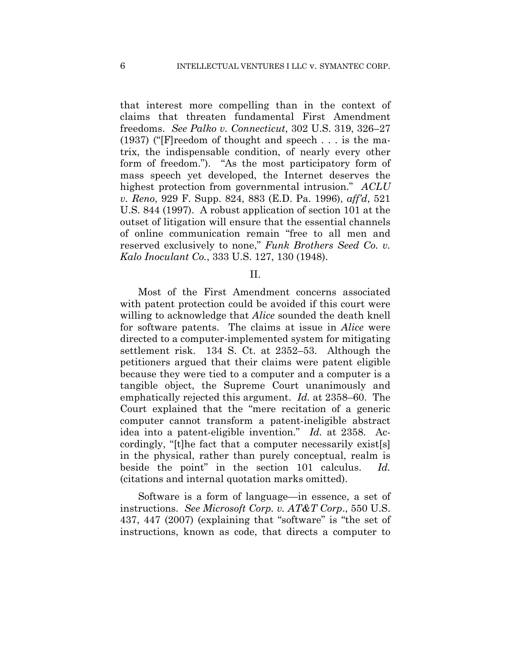that interest more compelling than in the context of claims that threaten fundamental First Amendment freedoms. *See Palko v. Connecticut*, 302 U.S. 319, 326–27 (1937) ("[F]reedom of thought and speech . . . is the matrix, the indispensable condition, of nearly every other form of freedom."). "As the most participatory form of mass speech yet developed, the Internet deserves the highest protection from governmental intrusion." *ACLU v. Reno*, 929 F. Supp. 824, 883 (E.D. Pa. 1996), *aff'd*, 521 U.S. 844 (1997). A robust application of section 101 at the outset of litigation will ensure that the essential channels of online communication remain "free to all men and reserved exclusively to none," *Funk Brothers Seed Co. v. Kalo Inoculant Co.*, 333 U.S. 127, 130 (1948).

II.

Most of the First Amendment concerns associated with patent protection could be avoided if this court were willing to acknowledge that *Alice* sounded the death knell for software patents. The claims at issue in *Alice* were directed to a computer-implemented system for mitigating settlement risk. 134 S. Ct. at 2352–53. Although the petitioners argued that their claims were patent eligible because they were tied to a computer and a computer is a tangible object, the Supreme Court unanimously and emphatically rejected this argument. *Id.* at 2358–60. The Court explained that the "mere recitation of a generic computer cannot transform a patent-ineligible abstract idea into a patent-eligible invention." *Id.* at 2358. Accordingly, "[t]he fact that a computer necessarily exist[s] in the physical, rather than purely conceptual, realm is beside the point" in the section 101 calculus. *Id.*  (citations and internal quotation marks omitted).

Software is a form of language—in essence, a set of instructions. *See Microsoft Corp. v. AT&T Corp*., 550 U.S. 437, 447 (2007) (explaining that "software" is "the set of instructions, known as code, that directs a computer to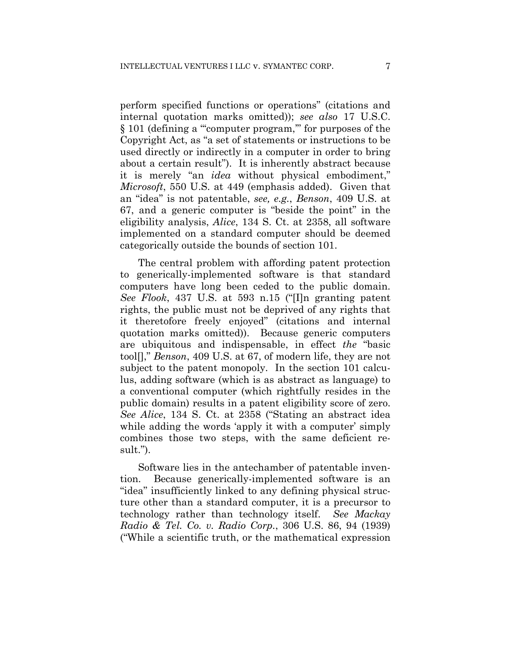perform specified functions or operations" (citations and internal quotation marks omitted)); *see also* 17 U.S.C. § 101 (defining a "'computer program,'" for purposes of the Copyright Act, as "a set of statements or instructions to be used directly or indirectly in a computer in order to bring about a certain result"). It is inherently abstract because it is merely "an *idea* without physical embodiment," *Microsoft*, 550 U.S. at 449 (emphasis added). Given that an "idea" is not patentable, *see, e.g.*, *Benson*, 409 U.S. at 67, and a generic computer is "beside the point" in the eligibility analysis, *Alice*, 134 S. Ct. at 2358, all software implemented on a standard computer should be deemed categorically outside the bounds of section 101.

The central problem with affording patent protection to generically-implemented software is that standard computers have long been ceded to the public domain. *See Flook*, 437 U.S. at 593 n.15 ("[I]n granting patent rights, the public must not be deprived of any rights that it theretofore freely enjoyed" (citations and internal quotation marks omitted)). Because generic computers are ubiquitous and indispensable, in effect *the* "basic tool[]," *Benson*, 409 U.S. at 67, of modern life, they are not subject to the patent monopoly. In the section 101 calculus, adding software (which is as abstract as language) to a conventional computer (which rightfully resides in the public domain) results in a patent eligibility score of zero. *See Alice*, 134 S. Ct. at 2358 ("Stating an abstract idea while adding the words 'apply it with a computer' simply combines those two steps, with the same deficient result.").

Software lies in the antechamber of patentable invention. Because generically-implemented software is an "idea" insufficiently linked to any defining physical structure other than a standard computer, it is a precursor to technology rather than technology itself. *See Mackay Radio & Tel. Co. v. Radio Corp.*, 306 U.S. 86, 94 (1939) ("While a scientific truth, or the mathematical expression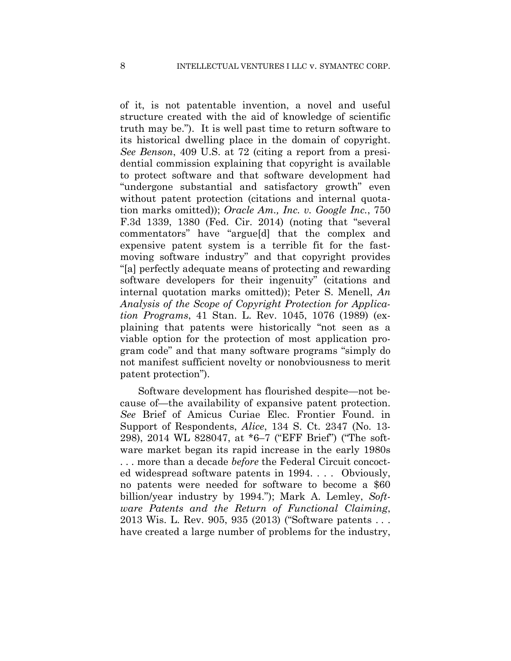of it, is not patentable invention, a novel and useful structure created with the aid of knowledge of scientific truth may be."). It is well past time to return software to its historical dwelling place in the domain of copyright. *See Benson*, 409 U.S. at 72 (citing a report from a presidential commission explaining that copyright is available to protect software and that software development had "undergone substantial and satisfactory growth" even without patent protection (citations and internal quotation marks omitted)); *Oracle Am., Inc. v. Google Inc.*, 750 F.3d 1339, 1380 (Fed. Cir. 2014) (noting that "several commentators" have "argue[d] that the complex and expensive patent system is a terrible fit for the fastmoving software industry" and that copyright provides "[a] perfectly adequate means of protecting and rewarding software developers for their ingenuity" (citations and internal quotation marks omitted)); Peter S. Menell, *An Analysis of the Scope of Copyright Protection for Application Programs*, 41 Stan. L. Rev. 1045, 1076 (1989) (explaining that patents were historically "not seen as a viable option for the protection of most application program code" and that many software programs "simply do not manifest sufficient novelty or nonobviousness to merit patent protection").

Software development has flourished despite—not because of—the availability of expansive patent protection. *See* Brief of Amicus Curiae Elec. Frontier Found. in Support of Respondents, *Alice*, 134 S. Ct. 2347 (No. 13- 298), 2014 WL 828047, at \*6–7 ("EFF Brief") ("The software market began its rapid increase in the early 1980s . . . more than a decade *before* the Federal Circuit concocted widespread software patents in 1994. . . . Obviously, no patents were needed for software to become a \$60 billion/year industry by 1994."); Mark A. Lemley, *Software Patents and the Return of Functional Claiming*, 2013 Wis. L. Rev. 905, 935 (2013) ("Software patents . . . have created a large number of problems for the industry,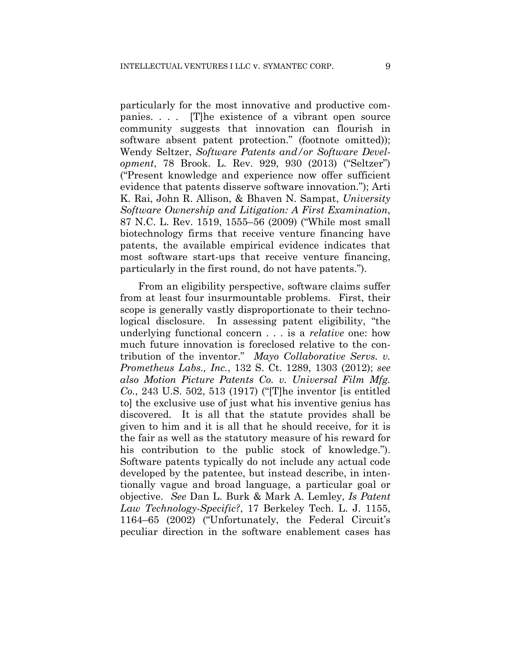particularly for the most innovative and productive companies. . . . [T]he existence of a vibrant open source community suggests that innovation can flourish in software absent patent protection." (footnote omitted)); Wendy Seltzer, *Software Patents and/or Software Development*, 78 Brook. L. Rev. 929, 930 (2013) ("Seltzer") ("Present knowledge and experience now offer sufficient evidence that patents disserve software innovation."); Arti K. Rai, John R. Allison, & Bhaven N. Sampat, *University Software Ownership and Litigation: A First Examination*, 87 N.C. L. Rev. 1519, 1555–56 (2009) ("While most small biotechnology firms that receive venture financing have patents, the available empirical evidence indicates that most software start-ups that receive venture financing, particularly in the first round, do not have patents.").

From an eligibility perspective, software claims suffer from at least four insurmountable problems. First, their scope is generally vastly disproportionate to their technological disclosure. In assessing patent eligibility, "the underlying functional concern . . . is a *relative* one: how much future innovation is foreclosed relative to the contribution of the inventor." *Mayo Collaborative Servs. v. Prometheus Labs., Inc.*, 132 S. Ct. 1289, 1303 (2012); *see also Motion Picture Patents Co. v. Universal Film Mfg. Co.*, 243 U.S. 502, 513 (1917) ("[T]he inventor [is entitled to] the exclusive use of just what his inventive genius has discovered. It is all that the statute provides shall be given to him and it is all that he should receive, for it is the fair as well as the statutory measure of his reward for his contribution to the public stock of knowledge."). Software patents typically do not include any actual code developed by the patentee, but instead describe, in intentionally vague and broad language, a particular goal or objective. *See* Dan L. Burk & Mark A. Lemley, *Is Patent Law Technology-Specific?*, 17 Berkeley Tech. L. J. 1155, 1164–65 (2002) ("Unfortunately, the Federal Circuit's peculiar direction in the software enablement cases has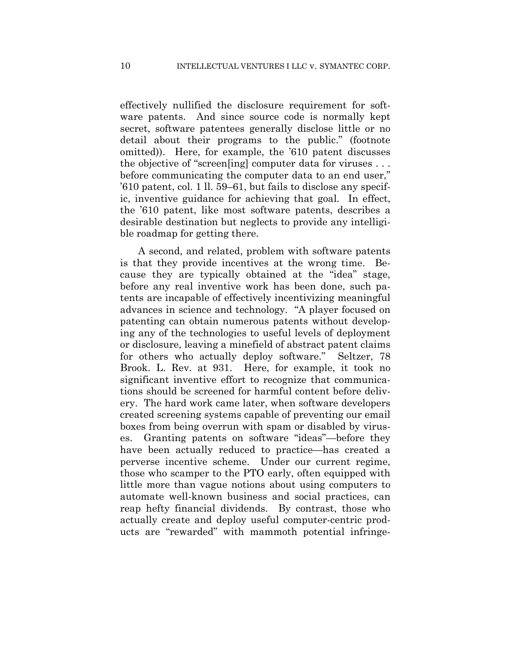effectively nullified the disclosure requirement for software patents. And since source code is normally kept secret, software patentees generally disclose little or no detail about their programs to the public." (footnote omitted)). Here, for example, the '610 patent discusses the objective of "screen[ing] computer data for viruses . . . before communicating the computer data to an end user," '610 patent, col. 1 ll. 59–61, but fails to disclose any specific, inventive guidance for achieving that goal. In effect, the '610 patent, like most software patents, describes a desirable destination but neglects to provide any intelligible roadmap for getting there.

A second, and related, problem with software patents is that they provide incentives at the wrong time. Because they are typically obtained at the "idea" stage, before any real inventive work has been done, such patents are incapable of effectively incentivizing meaningful advances in science and technology. "A player focused on patenting can obtain numerous patents without developing any of the technologies to useful levels of deployment or disclosure, leaving a minefield of abstract patent claims for others who actually deploy software." Seltzer, 78 Brook. L. Rev. at 931. Here, for example, it took no significant inventive effort to recognize that communications should be screened for harmful content before delivery. The hard work came later, when software developers created screening systems capable of preventing our email boxes from being overrun with spam or disabled by viruses. Granting patents on software "ideas"—before they have been actually reduced to practice—has created a perverse incentive scheme. Under our current regime, those who scamper to the PTO early, often equipped with little more than vague notions about using computers to automate well-known business and social practices, can reap hefty financial dividends. By contrast, those who actually create and deploy useful computer-centric products are "rewarded" with mammoth potential infringe-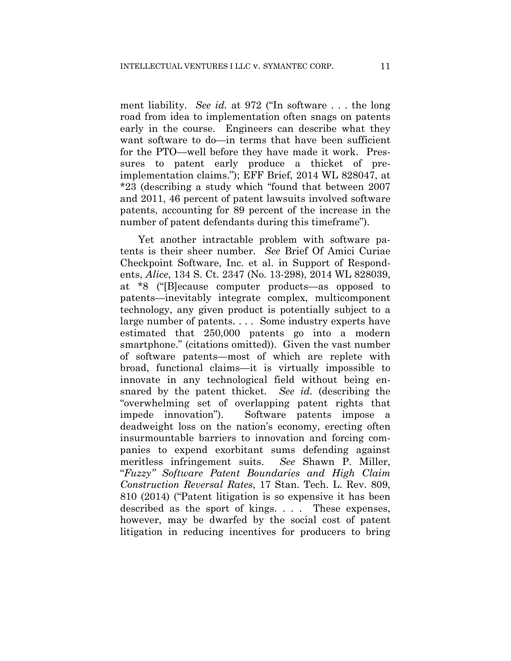ment liability. *See id.* at 972 ("In software . . . the long road from idea to implementation often snags on patents early in the course. Engineers can describe what they want software to do—in terms that have been sufficient for the PTO—well before they have made it work. Pressures to patent early produce a thicket of preimplementation claims."); EFF Brief, 2014 WL 828047, at \*23 (describing a study which "found that between 2007 and 2011, 46 percent of patent lawsuits involved software patents, accounting for 89 percent of the increase in the number of patent defendants during this timeframe").

Yet another intractable problem with software patents is their sheer number. *See* Brief Of Amici Curiae Checkpoint Software, Inc. et al. in Support of Respondents, *Alice*, 134 S. Ct. 2347 (No. 13-298), 2014 WL 828039, at \*8 ("[B]ecause computer products—as opposed to patents—inevitably integrate complex, multicomponent technology, any given product is potentially subject to a large number of patents. . . . Some industry experts have estimated that 250,000 patents go into a modern smartphone." (citations omitted)). Given the vast number of software patents—most of which are replete with broad, functional claims—it is virtually impossible to innovate in any technological field without being ensnared by the patent thicket. *See id.* (describing the "overwhelming set of overlapping patent rights that impede innovation"). Software patents impose a deadweight loss on the nation's economy, erecting often insurmountable barriers to innovation and forcing companies to expend exorbitant sums defending against meritless infringement suits. *See* Shawn P. Miller, "*Fuzzy" Software Patent Boundaries and High Claim Construction Reversal Rates*, 17 Stan. Tech. L. Rev. 809, 810 (2014) ("Patent litigation is so expensive it has been described as the sport of kings. . . . These expenses, however, may be dwarfed by the social cost of patent litigation in reducing incentives for producers to bring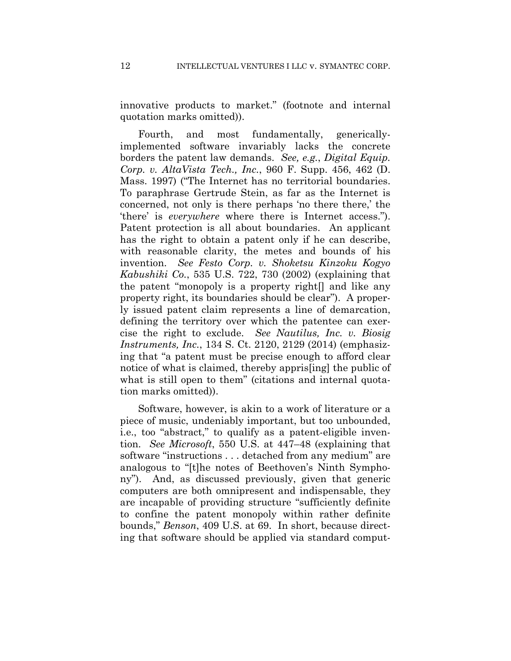innovative products to market." (footnote and internal quotation marks omitted)).

Fourth, and most fundamentally, genericallyimplemented software invariably lacks the concrete borders the patent law demands. *See, e.g.*, *Digital Equip. Corp. v. AltaVista Tech., Inc.*, 960 F. Supp. 456, 462 (D. Mass. 1997) ("The Internet has no territorial boundaries. To paraphrase Gertrude Stein, as far as the Internet is concerned, not only is there perhaps 'no there there,' the 'there' is *everywhere* where there is Internet access."). Patent protection is all about boundaries. An applicant has the right to obtain a patent only if he can describe, with reasonable clarity, the metes and bounds of his invention. *See Festo Corp. v. Shoketsu Kinzoku Kogyo Kabushiki Co.*, 535 U.S. 722, 730 (2002) (explaining that the patent "monopoly is a property right[] and like any property right, its boundaries should be clear"). A properly issued patent claim represents a line of demarcation, defining the territory over which the patentee can exercise the right to exclude. *See Nautilus, Inc. v. Biosig Instruments, Inc.*, 134 S. Ct. 2120, 2129 (2014) (emphasizing that "a patent must be precise enough to afford clear notice of what is claimed, thereby appris[ing] the public of what is still open to them" (citations and internal quotation marks omitted)).

Software, however, is akin to a work of literature or a piece of music, undeniably important, but too unbounded, i.e., too "abstract," to qualify as a patent-eligible invention. *See Microsoft*, 550 U.S. at 447–48 (explaining that software "instructions . . . detached from any medium" are analogous to "[t]he notes of Beethoven's Ninth Symphony"). And, as discussed previously, given that generic computers are both omnipresent and indispensable, they are incapable of providing structure "sufficiently definite to confine the patent monopoly within rather definite bounds," *Benson*, 409 U.S. at 69. In short, because directing that software should be applied via standard comput-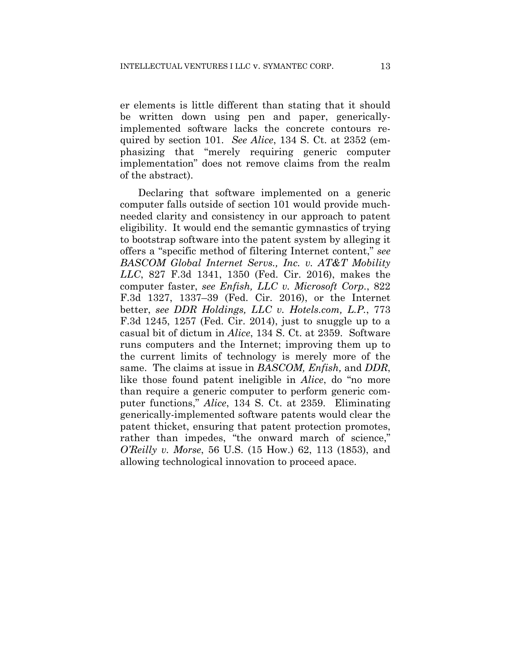er elements is little different than stating that it should be written down using pen and paper, genericallyimplemented software lacks the concrete contours required by section 101. *See Alice*, 134 S. Ct. at 2352 (emphasizing that "merely requiring generic computer implementation" does not remove claims from the realm of the abstract).

Declaring that software implemented on a generic computer falls outside of section 101 would provide muchneeded clarity and consistency in our approach to patent eligibility. It would end the semantic gymnastics of trying to bootstrap software into the patent system by alleging it offers a "specific method of filtering Internet content," *see BASCOM Global Internet Servs., Inc. v. AT&T Mobility LLC*, 827 F.3d 1341, 1350 (Fed. Cir. 2016), makes the computer faster, *see Enfish, LLC v. Microsoft Corp.*, 822 F.3d 1327, 1337–39 (Fed. Cir. 2016), or the Internet better, *see DDR Holdings, LLC v. Hotels.com, L.P.*, 773 F.3d 1245, 1257 (Fed. Cir. 2014), just to snuggle up to a casual bit of dictum in *Alice*, 134 S. Ct. at 2359. Software runs computers and the Internet; improving them up to the current limits of technology is merely more of the same. The claims at issue in *BASCOM, Enfish,* and *DDR*, like those found patent ineligible in *Alice*, do "no more than require a generic computer to perform generic computer functions," *Alice*, 134 S. Ct. at 2359. Eliminating generically-implemented software patents would clear the patent thicket, ensuring that patent protection promotes, rather than impedes, "the onward march of science," *O'Reilly v. Morse*, 56 U.S. (15 How.) 62, 113 (1853), and allowing technological innovation to proceed apace.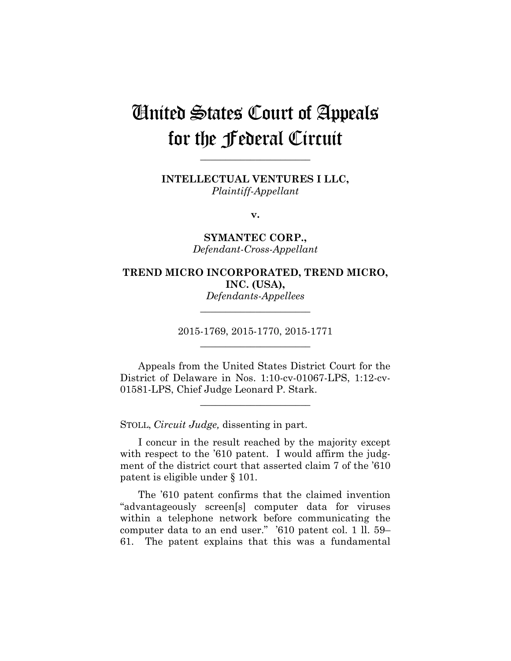# United States Court of Appeals for the Federal Circuit

**\_\_\_\_\_\_\_\_\_\_\_\_\_\_\_\_\_\_\_\_\_\_** 

**INTELLECTUAL VENTURES I LLC,** *Plaintiff-Appellant*

**v.**

**SYMANTEC CORP.,** *Defendant-Cross-Appellant*

# **TREND MICRO INCORPORATED, TREND MICRO, INC. (USA),**

*Defendants-Appellees* **\_\_\_\_\_\_\_\_\_\_\_\_\_\_\_\_\_\_\_\_\_\_** 

2015-1769, 2015-1770, 2015-1771 **\_\_\_\_\_\_\_\_\_\_\_\_\_\_\_\_\_\_\_\_\_\_** 

Appeals from the United States District Court for the District of Delaware in Nos. 1:10-cv-01067-LPS, 1:12-cv-01581-LPS, Chief Judge Leonard P. Stark.

**\_\_\_\_\_\_\_\_\_\_\_\_\_\_\_\_\_\_\_\_\_\_** 

STOLL, *Circuit Judge,* dissenting in part.

I concur in the result reached by the majority except with respect to the '610 patent. I would affirm the judgment of the district court that asserted claim 7 of the '610 patent is eligible under § 101.

The '610 patent confirms that the claimed invention "advantageously screen[s] computer data for viruses within a telephone network before communicating the computer data to an end user." '610 patent col. 1 ll. 59– 61. The patent explains that this was a fundamental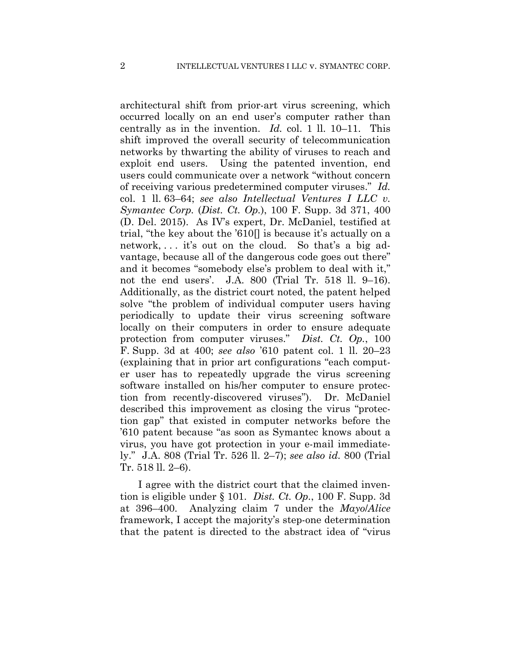architectural shift from prior-art virus screening, which occurred locally on an end user's computer rather than centrally as in the invention. *Id.* col. 1 ll. 10–11. This shift improved the overall security of telecommunication networks by thwarting the ability of viruses to reach and exploit end users. Using the patented invention, end users could communicate over a network "without concern of receiving various predetermined computer viruses." *Id.*  col. 1 ll. 63–64; *see also Intellectual Ventures I LLC v. Symantec Corp.* (*Dist. Ct. Op.*), 100 F. Supp. 3d 371, 400 (D. Del. 2015). As IV's expert, Dr. McDaniel, testified at trial, "the key about the '610[] is because it's actually on a network, . . . it's out on the cloud. So that's a big advantage, because all of the dangerous code goes out there" and it becomes "somebody else's problem to deal with it," not the end users'. J.A. 800 (Trial Tr. 518 ll. 9–16). Additionally, as the district court noted, the patent helped solve "the problem of individual computer users having periodically to update their virus screening software locally on their computers in order to ensure adequate protection from computer viruses." *Dist. Ct. Op.*, 100 F. Supp. 3d at 400; *see also* '610 patent col. 1 ll. 20–23 (explaining that in prior art configurations "each computer user has to repeatedly upgrade the virus screening software installed on his/her computer to ensure protection from recently-discovered viruses"). Dr. McDaniel described this improvement as closing the virus "protection gap" that existed in computer networks before the '610 patent because "as soon as Symantec knows about a virus, you have got protection in your e-mail immediately." J.A. 808 (Trial Tr. 526 ll. 2–7); *see also id.* 800 (Trial Tr. 518 ll. 2–6).

I agree with the district court that the claimed invention is eligible under § 101. *Dist. Ct. Op.*, 100 F. Supp. 3d at 396–400. Analyzing claim 7 under the *Mayo*/*Alice*  framework, I accept the majority's step-one determination that the patent is directed to the abstract idea of "virus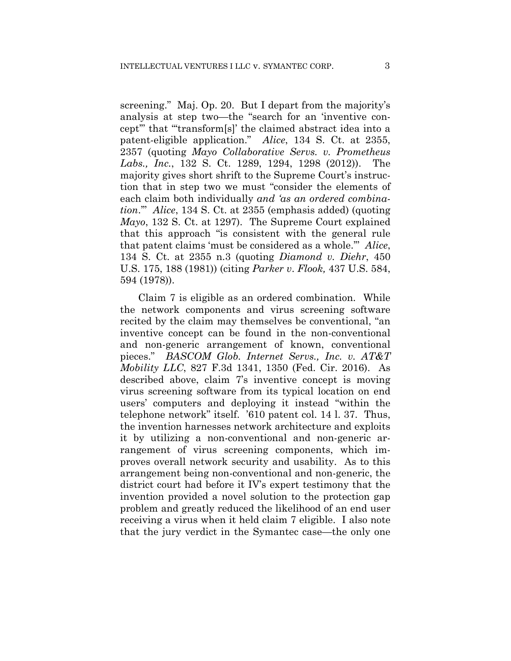screening." Maj. Op. 20. But I depart from the majority's analysis at step two—the "search for an 'inventive concept'" that "'transform[s]' the claimed abstract idea into a patent-eligible application." *Alice*, 134 S. Ct. at 2355, 2357 (quoting *Mayo Collaborative Servs. v. Prometheus Labs., Inc.*, 132 S. Ct. 1289, 1294, 1298 (2012)). The majority gives short shrift to the Supreme Court's instruction that in step two we must "consider the elements of each claim both individually *and 'as an ordered combination*.'" *Alice*, 134 S. Ct. at 2355 (emphasis added) (quoting *Mayo*, 132 S. Ct. at 1297). The Supreme Court explained that this approach "is consistent with the general rule that patent claims 'must be considered as a whole.'" *Alice*, 134 S. Ct. at 2355 n.3 (quoting *Diamond v. Diehr*, 450 U.S. 175, 188 (1981)) (citing *Parker v*. *Flook,* 437 U.S. 584, 594 (1978)).

 Claim 7 is eligible as an ordered combination. While the network components and virus screening software recited by the claim may themselves be conventional, "an inventive concept can be found in the non-conventional and non-generic arrangement of known, conventional pieces." *BASCOM Glob. Internet Servs., Inc. v. AT&T Mobility LLC*, 827 F.3d 1341, 1350 (Fed. Cir. 2016). As described above, claim 7's inventive concept is moving virus screening software from its typical location on end users' computers and deploying it instead "within the telephone network" itself. '610 patent col. 14 l. 37. Thus, the invention harnesses network architecture and exploits it by utilizing a non-conventional and non-generic arrangement of virus screening components, which improves overall network security and usability. As to this arrangement being non-conventional and non-generic, the district court had before it IV's expert testimony that the invention provided a novel solution to the protection gap problem and greatly reduced the likelihood of an end user receiving a virus when it held claim 7 eligible. I also note that the jury verdict in the Symantec case—the only one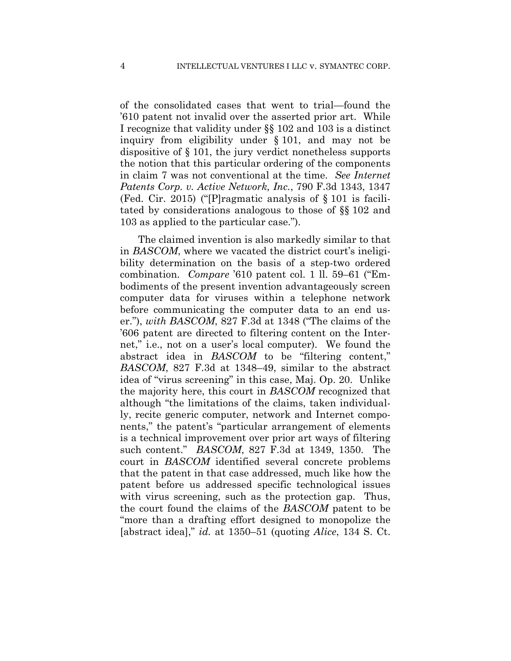of the consolidated cases that went to trial—found the '610 patent not invalid over the asserted prior art. While I recognize that validity under §§ 102 and 103 is a distinct inquiry from eligibility under § 101, and may not be dispositive of § 101, the jury verdict nonetheless supports the notion that this particular ordering of the components in claim 7 was not conventional at the time. *See Internet Patents Corp. v. Active Network, Inc.*, 790 F.3d 1343, 1347 (Fed. Cir. 2015) ("[P]ragmatic analysis of § 101 is facilitated by considerations analogous to those of §§ 102 and 103 as applied to the particular case.").

The claimed invention is also markedly similar to that in *BASCOM*, where we vacated the district court's ineligibility determination on the basis of a step-two ordered combination. *Compare* '610 patent col. 1 ll. 59–61 ("Embodiments of the present invention advantageously screen computer data for viruses within a telephone network before communicating the computer data to an end user."), *with BASCOM*, 827 F.3d at 1348 ("The claims of the '606 patent are directed to filtering content on the Internet," i.e., not on a user's local computer). We found the abstract idea in *BASCOM* to be "filtering content," *BASCOM*, 827 F.3d at 1348–49, similar to the abstract idea of "virus screening" in this case, Maj. Op. 20. Unlike the majority here, this court in *BASCOM* recognized that although "the limitations of the claims, taken individually, recite generic computer, network and Internet components," the patent's "particular arrangement of elements is a technical improvement over prior art ways of filtering such content." *BASCOM*, 827 F.3d at 1349, 1350. The court in *BASCOM* identified several concrete problems that the patent in that case addressed, much like how the patent before us addressed specific technological issues with virus screening, such as the protection gap. Thus, the court found the claims of the *BASCOM* patent to be "more than a drafting effort designed to monopolize the [abstract idea]," *id.* at 1350–51 (quoting *Alice*, 134 S. Ct.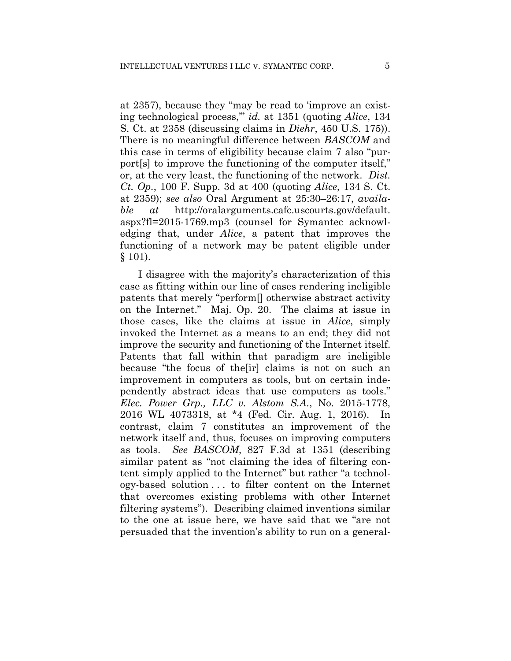at 2357), because they "may be read to 'improve an existing technological process,'" *id.* at 1351 (quoting *Alice*, 134 S. Ct. at 2358 (discussing claims in *Diehr*, 450 U.S. 175)). There is no meaningful difference between *BASCOM* and this case in terms of eligibility because claim 7 also "purport[s] to improve the functioning of the computer itself," or, at the very least, the functioning of the network. *Dist. Ct. Op.*, 100 F. Supp. 3d at 400 (quoting *Alice*, 134 S. Ct. at 2359); *see also* Oral Argument at 25:30–26:17, *available at* http://oralarguments.cafc.uscourts.gov/default. aspx?fl=2015-1769.mp3 (counsel for Symantec acknowledging that, under *Alice*, a patent that improves the functioning of a network may be patent eligible under § 101).

I disagree with the majority's characterization of this case as fitting within our line of cases rendering ineligible patents that merely "perform[] otherwise abstract activity on the Internet." Maj. Op. 20. The claims at issue in those cases, like the claims at issue in *Alice*, simply invoked the Internet as a means to an end; they did not improve the security and functioning of the Internet itself. Patents that fall within that paradigm are ineligible because "the focus of the[ir] claims is not on such an improvement in computers as tools, but on certain independently abstract ideas that use computers as tools." *Elec. Power Grp., LLC v. Alstom S.A.*, No. 2015-1778, 2016 WL 4073318, at \*4 (Fed. Cir. Aug. 1, 2016). In contrast, claim 7 constitutes an improvement of the network itself and, thus, focuses on improving computers as tools. *See BASCOM*, 827 F.3d at 1351 (describing similar patent as "not claiming the idea of filtering content simply applied to the Internet" but rather "a technology-based solution . . . to filter content on the Internet that overcomes existing problems with other Internet filtering systems").Describing claimed inventions similar to the one at issue here, we have said that we "are not persuaded that the invention's ability to run on a general